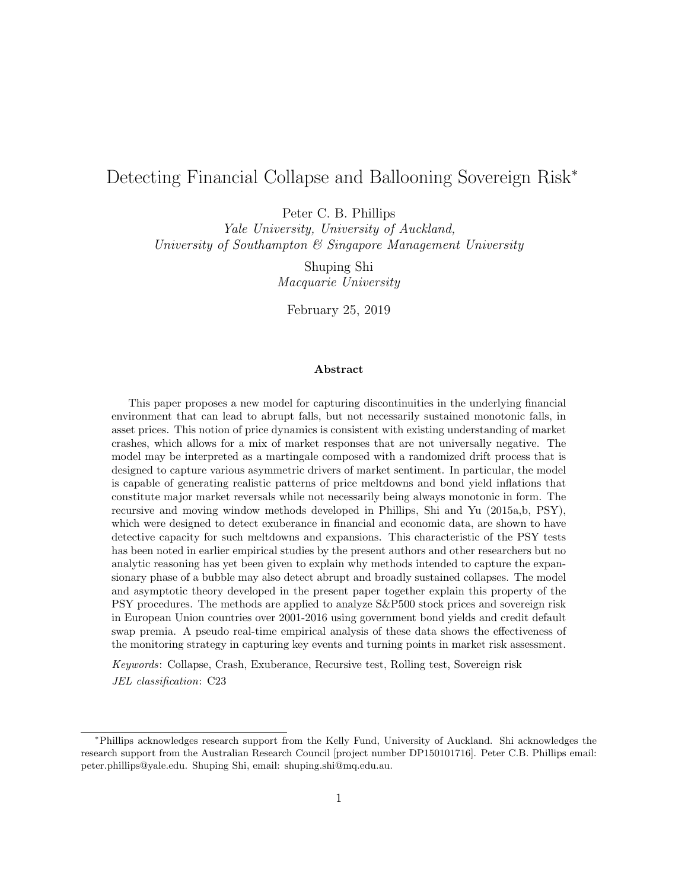# Detecting Financial Collapse and Ballooning Sovereign Risk<sup>∗</sup>

Peter C. B. Phillips

Yale University, University of Auckland, University of Southampton & Singapore Management University

> Shuping Shi Macquarie University

February 25, 2019

#### Abstract

This paper proposes a new model for capturing discontinuities in the underlying financial environment that can lead to abrupt falls, but not necessarily sustained monotonic falls, in asset prices. This notion of price dynamics is consistent with existing understanding of market crashes, which allows for a mix of market responses that are not universally negative. The model may be interpreted as a martingale composed with a randomized drift process that is designed to capture various asymmetric drivers of market sentiment. In particular, the model is capable of generating realistic patterns of price meltdowns and bond yield inflations that constitute major market reversals while not necessarily being always monotonic in form. The recursive and moving window methods developed in Phillips, Shi and Yu (2015a,b, PSY), which were designed to detect exuberance in financial and economic data, are shown to have detective capacity for such meltdowns and expansions. This characteristic of the PSY tests has been noted in earlier empirical studies by the present authors and other researchers but no analytic reasoning has yet been given to explain why methods intended to capture the expansionary phase of a bubble may also detect abrupt and broadly sustained collapses. The model and asymptotic theory developed in the present paper together explain this property of the PSY procedures. The methods are applied to analyze S&P500 stock prices and sovereign risk in European Union countries over 2001-2016 using government bond yields and credit default swap premia. A pseudo real-time empirical analysis of these data shows the effectiveness of the monitoring strategy in capturing key events and turning points in market risk assessment.

Keywords: Collapse, Crash, Exuberance, Recursive test, Rolling test, Sovereign risk JEL classification: C23

<sup>∗</sup>Phillips acknowledges research support from the Kelly Fund, University of Auckland. Shi acknowledges the research support from the Australian Research Council [project number DP150101716]. Peter C.B. Phillips email: peter.phillips@yale.edu. Shuping Shi, email: shuping.shi@mq.edu.au.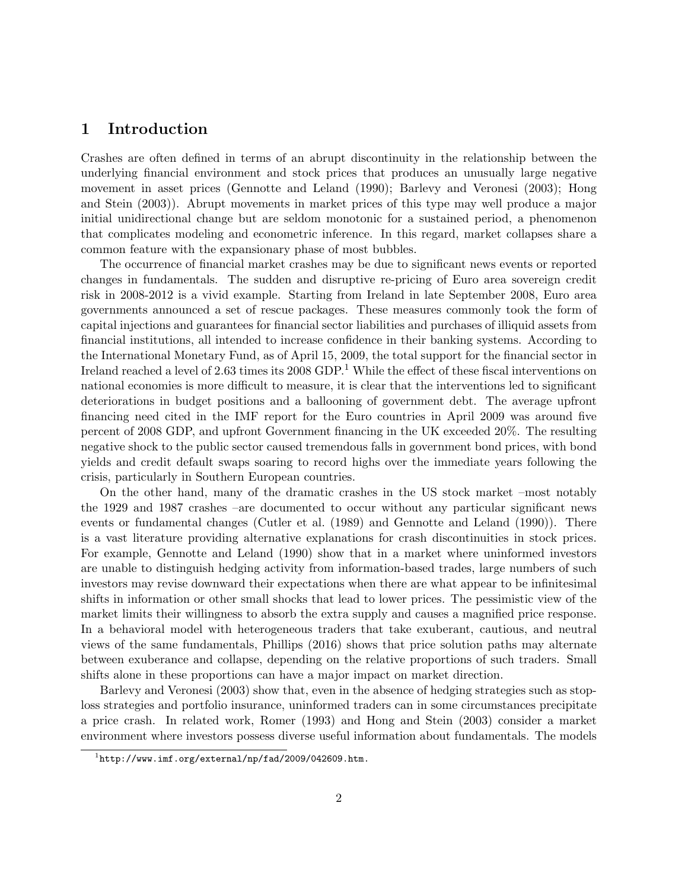## 1 Introduction

Crashes are often defined in terms of an abrupt discontinuity in the relationship between the underlying financial environment and stock prices that produces an unusually large negative movement in asset prices [\(Gennotte and Leland](#page-25-0) [\(1990\)](#page-25-0); [Barlevy and Veronesi](#page-25-1) [\(2003\)](#page-25-1); [Hong](#page-26-0) [and Stein](#page-26-0) [\(2003\)](#page-26-0)). Abrupt movements in market prices of this type may well produce a major initial unidirectional change but are seldom monotonic for a sustained period, a phenomenon that complicates modeling and econometric inference. In this regard, market collapses share a common feature with the expansionary phase of most bubbles.

The occurrence of financial market crashes may be due to significant news events or reported changes in fundamentals. The sudden and disruptive re-pricing of Euro area sovereign credit risk in 2008-2012 is a vivid example. Starting from Ireland in late September 2008, Euro area governments announced a set of rescue packages. These measures commonly took the form of capital injections and guarantees for financial sector liabilities and purchases of illiquid assets from financial institutions, all intended to increase confidence in their banking systems. According to the International Monetary Fund, as of April 15, 2009, the total support for the financial sector in Ireland reached a level of 2.63 times its 2008 GDP.<sup>[1](#page-1-0)</sup> While the effect of these fiscal interventions on national economies is more difficult to measure, it is clear that the interventions led to significant deteriorations in budget positions and a ballooning of government debt. The average upfront financing need cited in the IMF report for the Euro countries in April 2009 was around five percent of 2008 GDP, and upfront Government financing in the UK exceeded 20%. The resulting negative shock to the public sector caused tremendous falls in government bond prices, with bond yields and credit default swaps soaring to record highs over the immediate years following the crisis, particularly in Southern European countries.

On the other hand, many of the dramatic crashes in the US stock market –most notably the 1929 and 1987 crashes –are documented to occur without any particular significant news events or fundamental changes [\(Cutler et al.](#page-25-2) [\(1989\)](#page-25-2) and [Gennotte and Leland](#page-25-0) [\(1990\)](#page-25-0)). There is a vast literature providing alternative explanations for crash discontinuities in stock prices. For example, [Gennotte and Leland](#page-25-0) [\(1990\)](#page-25-0) show that in a market where uninformed investors are unable to distinguish hedging activity from information-based trades, large numbers of such investors may revise downward their expectations when there are what appear to be infinitesimal shifts in information or other small shocks that lead to lower prices. The pessimistic view of the market limits their willingness to absorb the extra supply and causes a magnified price response. In a behavioral model with heterogeneous traders that take exuberant, cautious, and neutral views of the same fundamentals, [Phillips](#page-26-1) [\(2016\)](#page-26-1) shows that price solution paths may alternate between exuberance and collapse, depending on the relative proportions of such traders. Small shifts alone in these proportions can have a major impact on market direction.

[Barlevy and Veronesi](#page-25-1) [\(2003\)](#page-25-1) show that, even in the absence of hedging strategies such as stoploss strategies and portfolio insurance, uninformed traders can in some circumstances precipitate a price crash. In related work, [Romer](#page-27-0) [\(1993\)](#page-27-0) and [Hong and Stein](#page-26-0) [\(2003\)](#page-26-0) consider a market environment where investors possess diverse useful information about fundamentals. The models

<span id="page-1-0"></span> $1$ <http://www.imf.org/external/np/fad/2009/042609.htm.>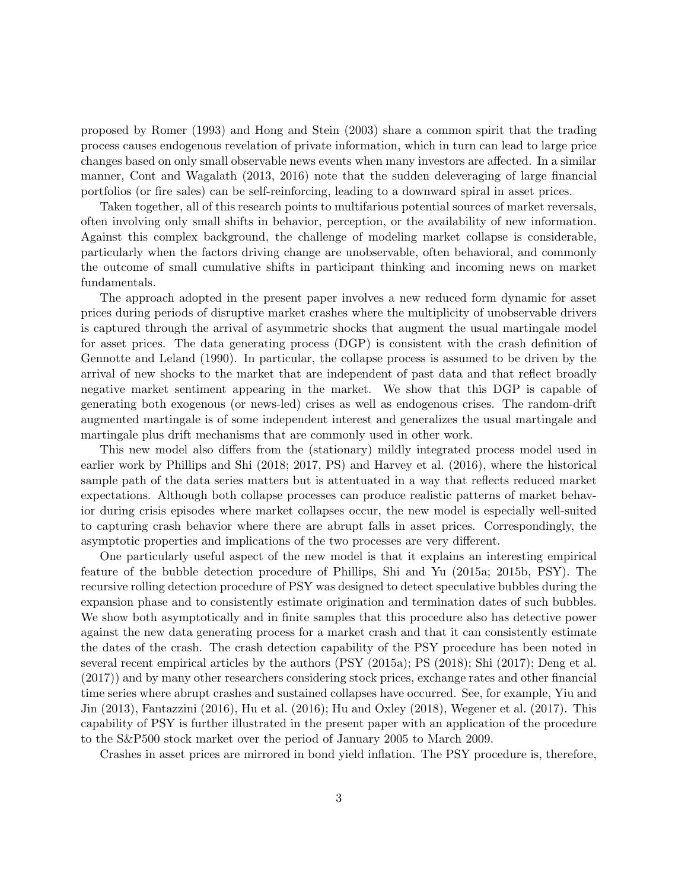proposed by [Romer](#page-27-0) [\(1993\)](#page-27-0) and [Hong and Stein](#page-26-0) [\(2003\)](#page-26-0) share a common spirit that the trading process causes endogenous revelation of private information, which in turn can lead to large price changes based on only small observable news events when many investors are affected. In a similar manner, [Cont and Wagalath](#page-25-3) [\(2013,](#page-25-3) [2016\)](#page-25-4) note that the sudden deleveraging of large financial portfolios (or fire sales) can be self-reinforcing, leading to a downward spiral in asset prices.

Taken together, all of this research points to multifarious potential sources of market reversals, often involving only small shifts in behavior, perception, or the availability of new information. Against this complex background, the challenge of modeling market collapse is considerable, particularly when the factors driving change are unobservable, often behavioral, and commonly the outcome of small cumulative shifts in participant thinking and incoming news on market fundamentals.

The approach adopted in the present paper involves a new reduced form dynamic for asset prices during periods of disruptive market crashes where the multiplicity of unobservable drivers is captured through the arrival of asymmetric shocks that augment the usual martingale model for asset prices. The data generating process (DGP) is consistent with the crash definition of [Gennotte and Leland](#page-25-0) [\(1990\)](#page-25-0). In particular, the collapse process is assumed to be driven by the arrival of new shocks to the market that are independent of past data and that reflect broadly negative market sentiment appearing in the market. We show that this DGP is capable of generating both exogenous (or news-led) crises as well as endogenous crises. The random-drift augmented martingale is of some independent interest and generalizes the usual martingale and martingale plus drift mechanisms that are commonly used in other work.

This new model also differs from the (stationary) mildly integrated process model used in earlier work by Phillips and Shi [\(2018;](#page-26-2) [2017,](#page-26-3) PS) and [Harvey et al.](#page-25-5) [\(2016\)](#page-25-5), where the historical sample path of the data series matters but is attentuated in a way that reflects reduced market expectations. Although both collapse processes can produce realistic patterns of market behavior during crisis episodes where market collapses occur, the new model is especially well-suited to capturing crash behavior where there are abrupt falls in asset prices. Correspondingly, the asymptotic properties and implications of the two processes are very different.

One particularly useful aspect of the new model is that it explains an interesting empirical feature of the bubble detection procedure of Phillips, Shi and Yu [\(2015a;](#page-27-1) [2015b,](#page-27-2) PSY). The recursive rolling detection procedure of PSY was designed to detect speculative bubbles during the expansion phase and to consistently estimate origination and termination dates of such bubbles. We show both asymptotically and in finite samples that this procedure also has detective power against the new data generating process for a market crash and that it can consistently estimate the dates of the crash. The crash detection capability of the PSY procedure has been noted in several recent empirical articles by the authors (PSY (2015a); PS [\(2018\)](#page-26-2); [Shi](#page-27-3) [\(2017\)](#page-27-3); [Deng et al.](#page-25-6) [\(2017\)](#page-25-6)) and by many other researchers considering stock prices, exchange rates and other financial time series where abrupt crashes and sustained collapses have occurred. See, for example, [Yiu and](#page-27-4) [Jin](#page-27-4) [\(2013\)](#page-27-4), [Fantazzini](#page-25-7) [\(2016\)](#page-25-7), [Hu et al.](#page-26-4) [\(2016\)](#page-26-4); [Hu and Oxley](#page-26-5) [\(2018\)](#page-26-5), [Wegener et al.](#page-27-5) [\(2017\)](#page-27-5). This capability of PSY is further illustrated in the present paper with an application of the procedure to the S&P500 stock market over the period of January 2005 to March 2009.

Crashes in asset prices are mirrored in bond yield inflation. The PSY procedure is, therefore,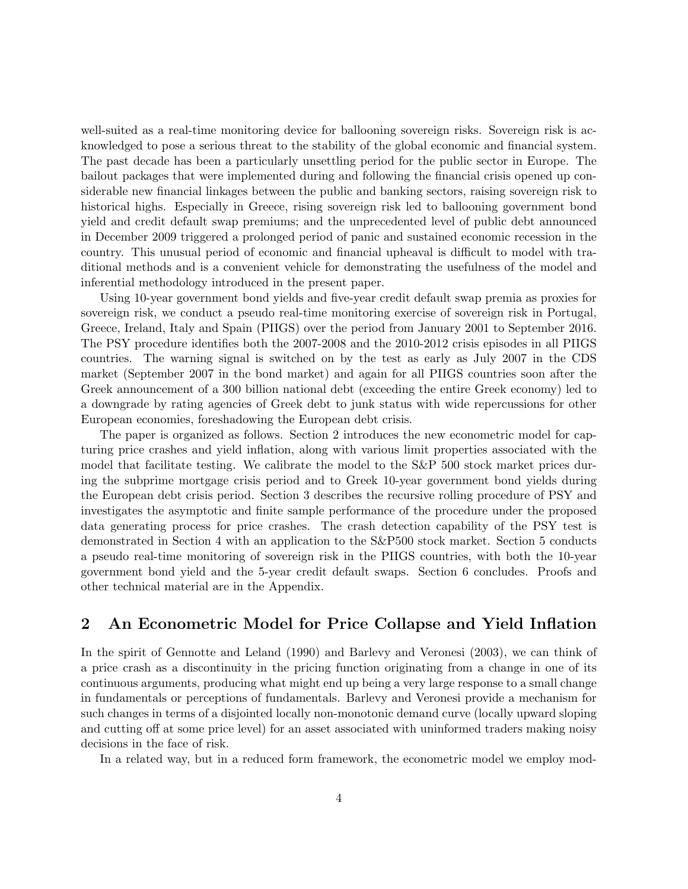well-suited as a real-time monitoring device for ballooning sovereign risks. Sovereign risk is acknowledged to pose a serious threat to the stability of the global economic and financial system. The past decade has been a particularly unsettling period for the public sector in Europe. The bailout packages that were implemented during and following the financial crisis opened up considerable new financial linkages between the public and banking sectors, raising sovereign risk to historical highs. Especially in Greece, rising sovereign risk led to ballooning government bond yield and credit default swap premiums; and the unprecedented level of public debt announced in December 2009 triggered a prolonged period of panic and sustained economic recession in the country. This unusual period of economic and financial upheaval is difficult to model with traditional methods and is a convenient vehicle for demonstrating the usefulness of the model and inferential methodology introduced in the present paper.

Using 10-year government bond yields and five-year credit default swap premia as proxies for sovereign risk, we conduct a pseudo real-time monitoring exercise of sovereign risk in Portugal, Greece, Ireland, Italy and Spain (PIIGS) over the period from January 2001 to September 2016. The PSY procedure identifies both the 2007-2008 and the 2010-2012 crisis episodes in all PIIGS countries. The warning signal is switched on by the test as early as July 2007 in the CDS market (September 2007 in the bond market) and again for all PIIGS countries soon after the Greek announcement of a 300 billion national debt (exceeding the entire Greek economy) led to a downgrade by rating agencies of Greek debt to junk status with wide repercussions for other European economies, foreshadowing the European debt crisis.

The paper is organized as follows. Section 2 introduces the new econometric model for capturing price crashes and yield inflation, along with various limit properties associated with the model that facilitate testing. We calibrate the model to the S&P 500 stock market prices during the subprime mortgage crisis period and to Greek 10-year government bond yields during the European debt crisis period. Section 3 describes the recursive rolling procedure of PSY and investigates the asymptotic and finite sample performance of the procedure under the proposed data generating process for price crashes. The crash detection capability of the PSY test is demonstrated in Section 4 with an application to the S&P500 stock market. Section 5 conducts a pseudo real-time monitoring of sovereign risk in the PIIGS countries, with both the 10-year government bond yield and the 5-year credit default swaps. Section 6 concludes. Proofs and other technical material are in the Appendix.

## 2 An Econometric Model for Price Collapse and Yield Inflation

In the spirit of [Gennotte and Leland](#page-25-0) [\(1990\)](#page-25-0) and [Barlevy and Veronesi](#page-25-1) [\(2003\)](#page-25-1), we can think of a price crash as a discontinuity in the pricing function originating from a change in one of its continuous arguments, producing what might end up being a very large response to a small change in fundamentals or perceptions of fundamentals. Barlevy and Veronesi provide a mechanism for such changes in terms of a disjointed locally non-monotonic demand curve (locally upward sloping and cutting off at some price level) for an asset associated with uninformed traders making noisy decisions in the face of risk.

In a related way, but in a reduced form framework, the econometric model we employ mod-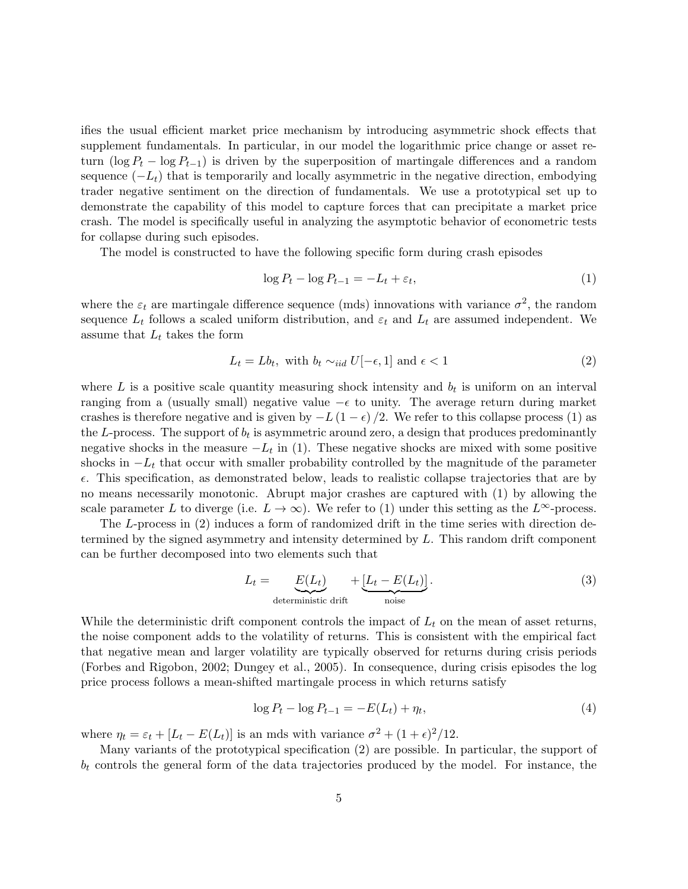ifies the usual efficient market price mechanism by introducing asymmetric shock effects that supplement fundamentals. In particular, in our model the logarithmic price change or asset return (log  $P_t - \log P_{t-1}$ ) is driven by the superposition of martingale differences and a random sequence  $(-L_t)$  that is temporarily and locally asymmetric in the negative direction, embodying trader negative sentiment on the direction of fundamentals. We use a prototypical set up to demonstrate the capability of this model to capture forces that can precipitate a market price crash. The model is specifically useful in analyzing the asymptotic behavior of econometric tests for collapse during such episodes.

The model is constructed to have the following specific form during crash episodes

<span id="page-4-0"></span>
$$
\log P_t - \log P_{t-1} = -L_t + \varepsilon_t,\tag{1}
$$

where the  $\varepsilon_t$  are martingale difference sequence (mds) innovations with variance  $\sigma^2$ , the random sequence  $L_t$  follows a scaled uniform distribution, and  $\varepsilon_t$  and  $L_t$  are assumed independent. We assume that  $L_t$  takes the form

<span id="page-4-1"></span>
$$
L_t = Lb_t, \text{ with } b_t \sim_{iid} U[-\epsilon, 1] \text{ and } \epsilon < 1 \tag{2}
$$

where  $L$  is a positive scale quantity measuring shock intensity and  $b_t$  is uniform on an interval ranging from a (usually small) negative value  $-\epsilon$  to unity. The average return during market crashes is therefore negative and is given by  $-L(1 - \epsilon)/2$ . We refer to this collapse process [\(1\)](#page-4-0) as the L-process. The support of  $b_t$  is asymmetric around zero, a design that produces predominantly negative shocks in the measure  $-L_t$  in [\(1\)](#page-4-0). These negative shocks are mixed with some positive shocks in  $-L_t$  that occur with smaller probability controlled by the magnitude of the parameter  $\epsilon$ . This specification, as demonstrated below, leads to realistic collapse trajectories that are by no means necessarily monotonic. Abrupt major crashes are captured with [\(1\)](#page-4-0) by allowing the scale parameter L to diverge (i.e.  $L \to \infty$ ). We refer to [\(1\)](#page-4-0) under this setting as the  $L^{\infty}$ -process.

The L-process in [\(2\)](#page-4-1) induces a form of randomized drift in the time series with direction determined by the signed asymmetry and intensity determined by L. This random drift component can be further decomposed into two elements such that

$$
L_t = \underbrace{E(L_t)}_{\text{deterministic drift}} + \underbrace{[L_t - E(L_t)]}_{\text{noise}}.
$$
\n(3)

While the deterministic drift component controls the impact of  $L_t$  on the mean of asset returns, the noise component adds to the volatility of returns. This is consistent with the empirical fact that negative mean and larger volatility are typically observed for returns during crisis periods [\(Forbes and Rigobon,](#page-25-8) [2002;](#page-25-8) [Dungey et al.,](#page-25-9) [2005\)](#page-25-9). In consequence, during crisis episodes the log price process follows a mean-shifted martingale process in which returns satisfy

<span id="page-4-2"></span>
$$
\log P_t - \log P_{t-1} = -E(L_t) + \eta_t,\tag{4}
$$

where  $\eta_t = \varepsilon_t + [L_t - E(L_t)]$  is an mds with variance  $\sigma^2 + (1 + \epsilon)^2 / 12$ .

Many variants of the prototypical specification [\(2\)](#page-4-1) are possible. In particular, the support of  $b_t$  controls the general form of the data trajectories produced by the model. For instance, the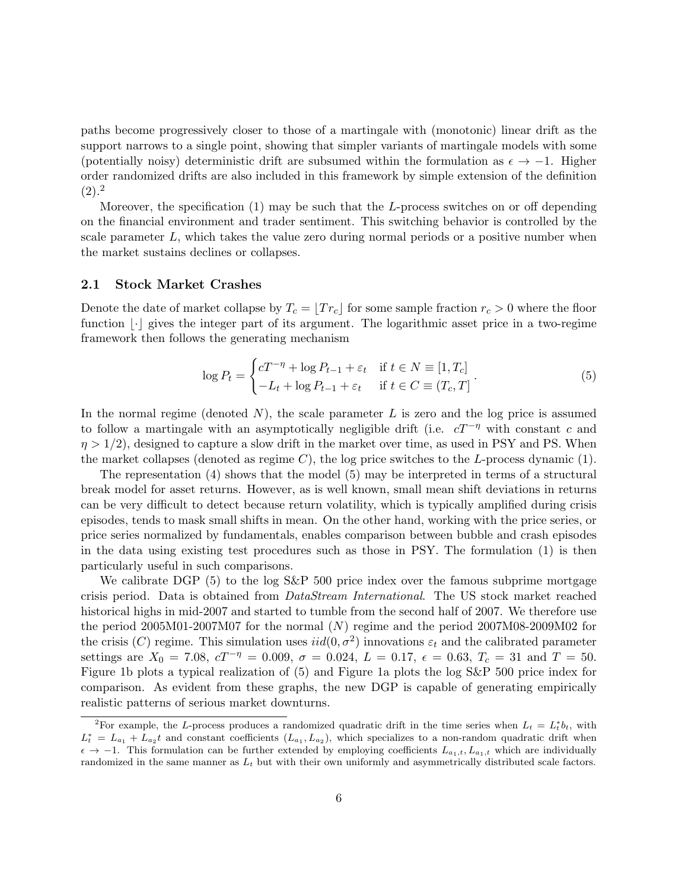paths become progressively closer to those of a martingale with (monotonic) linear drift as the support narrows to a single point, showing that simpler variants of martingale models with some (potentially noisy) deterministic drift are subsumed within the formulation as  $\epsilon \to -1$ . Higher order randomized drifts are also included in this framework by simple extension of the definition  $(2).^{2}$  $(2).^{2}$  $(2).^{2}$  $(2).^{2}$ 

Moreover, the specification [\(1\)](#page-4-0) may be such that the L-process switches on or off depending on the financial environment and trader sentiment. This switching behavior is controlled by the scale parameter  $L$ , which takes the value zero during normal periods or a positive number when the market sustains declines or collapses.

#### 2.1 Stock Market Crashes

Denote the date of market collapse by  $T_c = \lfloor Tr_c \rfloor$  for some sample fraction  $r_c > 0$  where the floor function  $|\cdot|$  gives the integer part of its argument. The logarithmic asset price in a two-regime framework then follows the generating mechanism

<span id="page-5-1"></span>
$$
\log P_t = \begin{cases} cT^{-\eta} + \log P_{t-1} + \varepsilon_t & \text{if } t \in N \equiv [1, T_c] \\ -L_t + \log P_{t-1} + \varepsilon_t & \text{if } t \in C \equiv (T_c, T] \end{cases} \tag{5}
$$

In the normal regime (denoted  $N$ ), the scale parameter  $L$  is zero and the log price is assumed to follow a martingale with an asymptotically negligible drift (i.e.  $cT^{-\eta}$  with constant c and  $\eta > 1/2$ , designed to capture a slow drift in the market over time, as used in PSY and PS. When the market collapses (denoted as regime C), the log price switches to the L-process dynamic  $(1)$ .

The representation [\(4\)](#page-4-2) shows that the model [\(5\)](#page-5-1) may be interpreted in terms of a structural break model for asset returns. However, as is well known, small mean shift deviations in returns can be very difficult to detect because return volatility, which is typically amplified during crisis episodes, tends to mask small shifts in mean. On the other hand, working with the price series, or price series normalized by fundamentals, enables comparison between bubble and crash episodes in the data using existing test procedures such as those in PSY. The formulation [\(1\)](#page-4-0) is then particularly useful in such comparisons.

We calibrate DGP [\(5\)](#page-5-1) to the log S&P 500 price index over the famous subprime mortgage crisis period. Data is obtained from DataStream International. The US stock market reached historical highs in mid-2007 and started to tumble from the second half of 2007. We therefore use the period 2005M01-2007M07 for the normal (N) regime and the period 2007M08-2009M02 for the crisis (C) regime. This simulation uses  $iid(0, \sigma^2)$  innovations  $\varepsilon_t$  and the calibrated parameter settings are  $X_0 = 7.08$ ,  $cT^{-\eta} = 0.009$ ,  $\sigma = 0.024$ ,  $L = 0.17$ ,  $\epsilon = 0.63$ ,  $T_c = 31$  and  $T = 50$ . Figure [1b](#page-6-0) plots a typical realization of [\(5\)](#page-5-1) and Figure [1a](#page-6-1) plots the log S&P 500 price index for comparison. As evident from these graphs, the new DGP is capable of generating empirically realistic patterns of serious market downturns.

<span id="page-5-0"></span><sup>&</sup>lt;sup>2</sup>For example, the L-process produces a randomized quadratic drift in the time series when  $L_t = L_t^* b_t$ , with  $L_t^* = L_{a_1} + L_{a_2}t$  and constant coefficients  $(L_{a_1}, L_{a_2})$ , which specializes to a non-random quadratic drift when  $\epsilon \to -1$ . This formulation can be further extended by employing coefficients  $L_{a_1,t}$ ,  $L_{a_1,t}$  which are individually randomized in the same manner as  $L_t$  but with their own uniformly and asymmetrically distributed scale factors.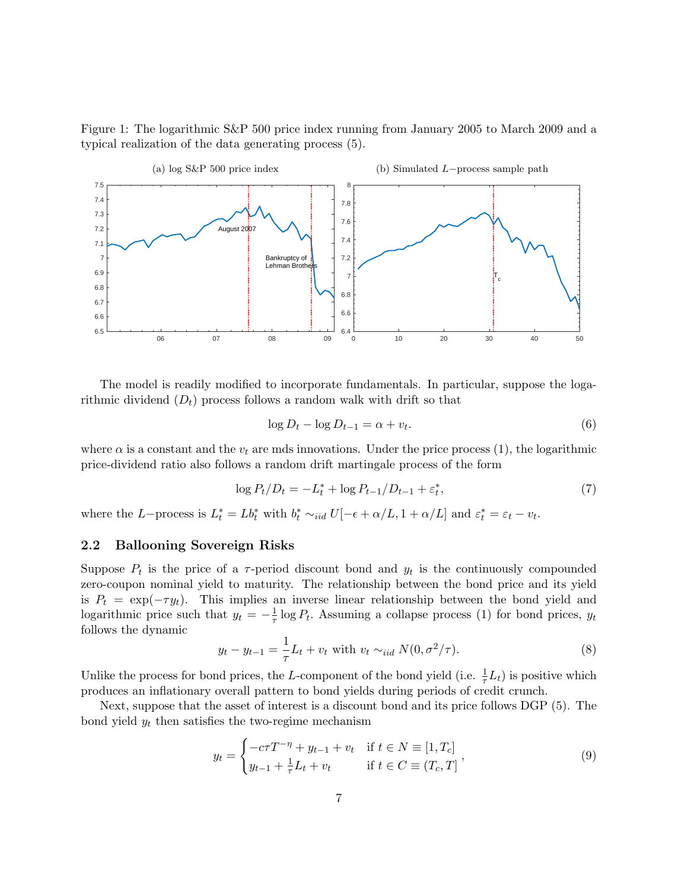Figure 1: The logarithmic S&P 500 price index running from January 2005 to March 2009 and a typical realization of the data generating process [\(5\)](#page-5-1).

<span id="page-6-1"></span><span id="page-6-0"></span>

The model is readily modified to incorporate fundamentals. In particular, suppose the logarithmic dividend  $(D_t)$  process follows a random walk with drift so that

$$
\log D_t - \log D_{t-1} = \alpha + v_t. \tag{6}
$$

where  $\alpha$  is a constant and the  $v_t$  are mds innovations. Under the price process [\(1\)](#page-4-0), the logarithmic price-dividend ratio also follows a random drift martingale process of the form

$$
\log P_t/D_t = -L_t^* + \log P_{t-1}/D_{t-1} + \varepsilon_t^*,\tag{7}
$$

where the L–process is  $L_t^* = Lb_t^*$  with  $b_t^* \sim_{iid} U[-\epsilon + \alpha/L, 1 + \alpha/L]$  and  $\varepsilon_t^* = \varepsilon_t - v_t$ .

### 2.2 Ballooning Sovereign Risks

Suppose  $P_t$  is the price of a  $\tau$ -period discount bond and  $y_t$  is the continuously compounded zero-coupon nominal yield to maturity. The relationship between the bond price and its yield is  $P_t = \exp(-\tau y_t)$ . This implies an inverse linear relationship between the bond yield and logarithmic price such that  $y_t = -\frac{1}{\tau}$  $\frac{1}{\tau}$  log  $P_t$ . Assuming a collapse process [\(1\)](#page-4-0) for bond prices,  $y_t$ follows the dynamic

$$
y_t - y_{t-1} = \frac{1}{\tau} L_t + v_t \text{ with } v_t \sim_{iid} N(0, \sigma^2/\tau). \tag{8}
$$

Unlike the process for bond prices, the L-component of the bond yield (i.e.  $\frac{1}{\tau}L_t$ ) is positive which produces an inflationary overall pattern to bond yields during periods of credit crunch.

Next, suppose that the asset of interest is a discount bond and its price follows DGP [\(5\)](#page-5-1). The bond yield  $y_t$  then satisfies the two-regime mechanism

<span id="page-6-2"></span>
$$
y_t = \begin{cases} -c\tau T^{-\eta} + y_{t-1} + v_t & \text{if } t \in N \equiv [1, T_c] \\ y_{t-1} + \frac{1}{\tau} L_t + v_t & \text{if } t \in C \equiv (T_c, T] \end{cases}
$$
(9)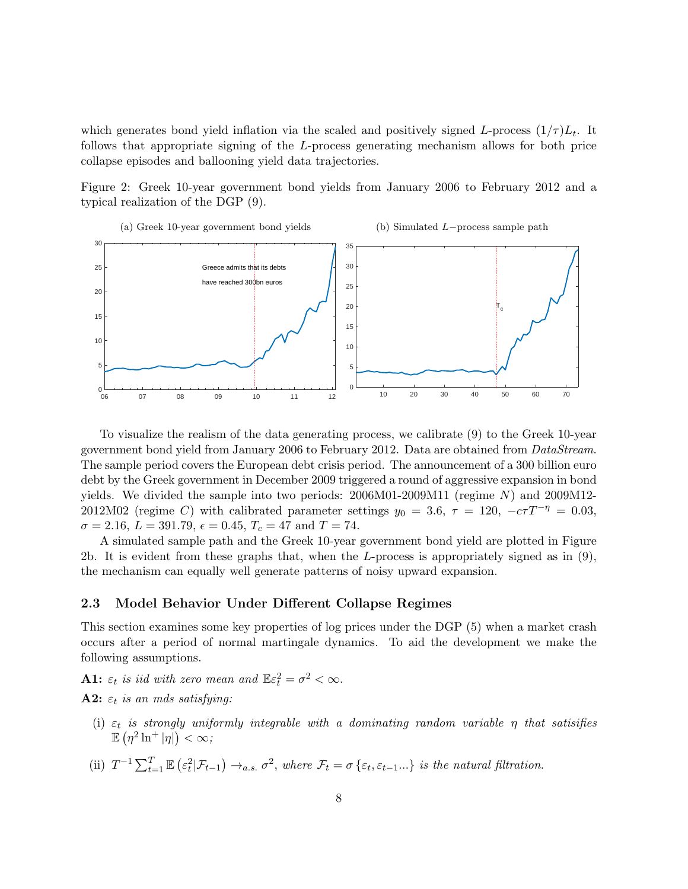which generates bond yield inflation via the scaled and positively signed L-process  $(1/\tau)L_t$ . It follows that appropriate signing of the L-process generating mechanism allows for both price collapse episodes and ballooning yield data trajectories.

<span id="page-7-0"></span>Figure 2: Greek 10-year government bond yields from January 2006 to February 2012 and a typical realization of the DGP [\(9\)](#page-6-2).



To visualize the realism of the data generating process, we calibrate [\(9\)](#page-6-2) to the Greek 10-year government bond yield from January 2006 to February 2012. Data are obtained from DataStream. The sample period covers the European debt crisis period. The announcement of a 300 billion euro debt by the Greek government in December 2009 triggered a round of aggressive expansion in bond yields. We divided the sample into two periods:  $2006M01-2009M11$  (regime N) and  $2009M12-$ 2012M02 (regime C) with calibrated parameter settings  $y_0 = 3.6$ ,  $\tau = 120$ ,  $-c\tau T^{-\eta} = 0.03$ ,  $\sigma = 2.16, L = 391.79, \epsilon = 0.45, T_c = 47 \text{ and } T = 74.$ 

A simulated sample path and the Greek 10-year government bond yield are plotted in Figure [2b.](#page-7-0) It is evident from these graphs that, when the L-process is appropriately signed as in  $(9)$ , the mechanism can equally well generate patterns of noisy upward expansion.

#### 2.3 Model Behavior Under Different Collapse Regimes

This section examines some key properties of log prices under the DGP [\(5\)](#page-5-1) when a market crash occurs after a period of normal martingale dynamics. To aid the development we make the following assumptions.

**A1:**  $\varepsilon_t$  is iid with zero mean and  $\mathbb{E}\varepsilon_t^2 = \sigma^2 < \infty$ .

**A2:**  $\varepsilon_t$  is an mds satisfying:

- (i)  $\varepsilon_t$  is strongly uniformly integrable with a dominating random variable  $\eta$  that satisifies  $\mathbb{E} \left( \eta^2 \ln^+ |\eta| \right) < \infty;$
- (ii)  $T^{-1} \sum_{t=1}^{T} \mathbb{E} \left( \varepsilon_t^2 | \mathcal{F}_{t-1} \right) \rightarrow_{a.s.} \sigma^2$ , where  $\mathcal{F}_t = \sigma \left\{ \varepsilon_t, \varepsilon_{t-1} \dots \right\}$  is the natural filtration.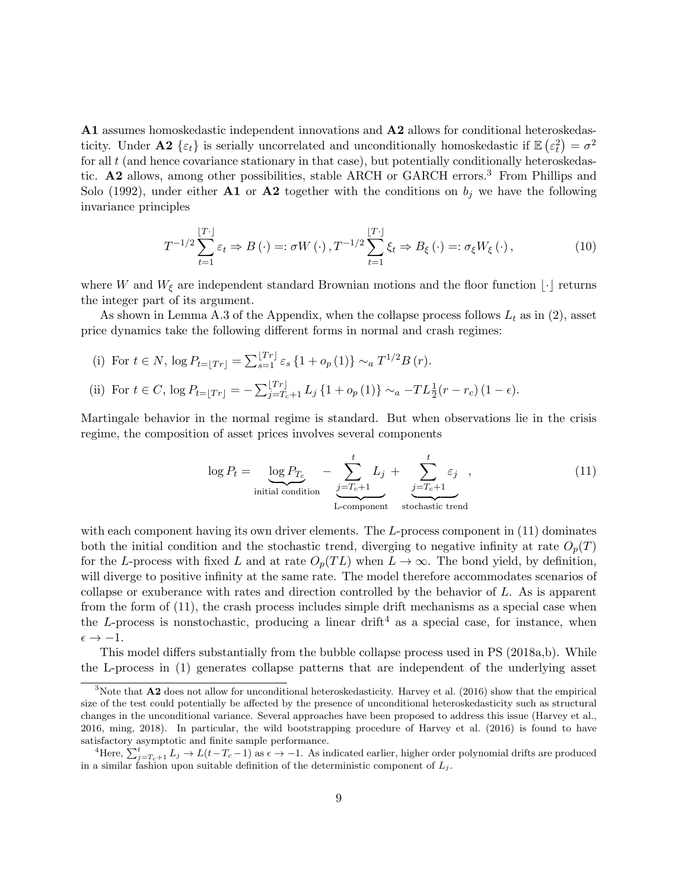A1 assumes homoskedastic independent innovations and A2 allows for conditional heteroskedasticity. Under **A2** { $\varepsilon_t$ } is serially uncorrelated and unconditionally homoskedastic if  $\mathbb{E}(\varepsilon_t^2) = \sigma^2$ for all  $t$  (and hence covariance stationary in that case), but potentially conditionally heteroskedastic. A2 allows, among other possibilities, stable ARCH or GARCH errors.[3](#page-8-0) From [Phillips and](#page-27-6) [Solo](#page-27-6) [\(1992\)](#page-27-6), under either A1 or A2 together with the conditions on  $b_j$  we have the following invariance principles

$$
T^{-1/2} \sum_{t=1}^{\lfloor T \cdot \rfloor} \varepsilon_t \Rightarrow B(\cdot) =: \sigma W(\cdot), T^{-1/2} \sum_{t=1}^{\lfloor T \cdot \rfloor} \xi_t \Rightarrow B_{\xi}(\cdot) =: \sigma_{\xi} W_{\xi}(\cdot), \tag{10}
$$

where W and  $W_{\xi}$  are independent standard Brownian motions and the floor function  $\lfloor \cdot \rfloor$  returns the integer part of its argument.

As shown in Lemma [A.3](#page-28-0) of the Appendix, when the collapse process follows  $L_t$  as in [\(2\)](#page-4-1), asset price dynamics take the following different forms in normal and crash regimes:

(i) For  $t \in N$ ,  $\log P_{t=\lfloor Tr \rfloor} = \sum_{s=1}^{\lfloor Tr \rfloor} \varepsilon_s \{1 + o_p(1)\} \sim_a T^{1/2} B(r)$ . (ii) For  $t \in C$ ,  $\log P_{t=\lfloor Tr \rfloor} = -\sum_{j=T_c+1}^{\lfloor Tr \rfloor} L_j \{1 + o_p(1)\} \sim_a -TL_{\frac{1}{2}}(r-r_c) (1-\epsilon).$ 

Martingale behavior in the normal regime is standard. But when observations lie in the crisis regime, the composition of asset prices involves several components

<span id="page-8-1"></span>
$$
\log P_t = \underbrace{\log P_{T_c}}_{\text{initial condition}} - \underbrace{\sum_{j=T_c+1}^{t} L_j}_{\text{L-component}} + \underbrace{\sum_{j=T_c+1}^{t} \varepsilon_j}_{\text{stochastic trend}}, \quad (11)
$$

with each component having its own driver elements. The  $L$ -process component in  $(11)$  dominates both the initial condition and the stochastic trend, diverging to negative infinity at rate  $O_p(T)$ for the L-process with fixed L and at rate  $O_p(TL)$  when  $L \to \infty$ . The bond yield, by definition, will diverge to positive infinity at the same rate. The model therefore accommodates scenarios of collapse or exuberance with rates and direction controlled by the behavior of L. As is apparent from the form of [\(11\)](#page-8-1), the crash process includes simple drift mechanisms as a special case when the L-process is nonstochastic, producing a linear drift<sup>[4](#page-8-2)</sup> as a special case, for instance, when  $\epsilon \rightarrow -1.$ 

This model differs substantially from the bubble collapse process used in PS (2018a,b). While the L-process in [\(1\)](#page-4-0) generates collapse patterns that are independent of the underlying asset

<span id="page-8-0"></span><sup>&</sup>lt;sup>3</sup>Note that **A2** does not allow for unconditional heteroskedasticity. [Harvey et al.](#page-25-5) [\(2016\)](#page-25-5) show that the empirical size of the test could potentially be affected by the presence of unconditional heteroskedasticity such as structural changes in the unconditional variance. Several approaches have been proposed to address this issue [\(Harvey et al.,](#page-25-5) [2016,](#page-25-5) [ming,](#page-26-6) [2018\)](#page-26-7). In particular, the wild bootstrapping procedure of [Harvey et al.](#page-25-5) [\(2016\)](#page-25-5) is found to have satisfactory asymptotic and finite sample performance.

<span id="page-8-2"></span><sup>&</sup>lt;sup>4</sup>Here,  $\sum_{j=T_c+1}^{t} L_j \to L(t-T_c-1)$  as  $\epsilon \to -1$ . As indicated earlier, higher order polynomial drifts are produced in a similar fashion upon suitable definition of the deterministic component of  $L_j$ .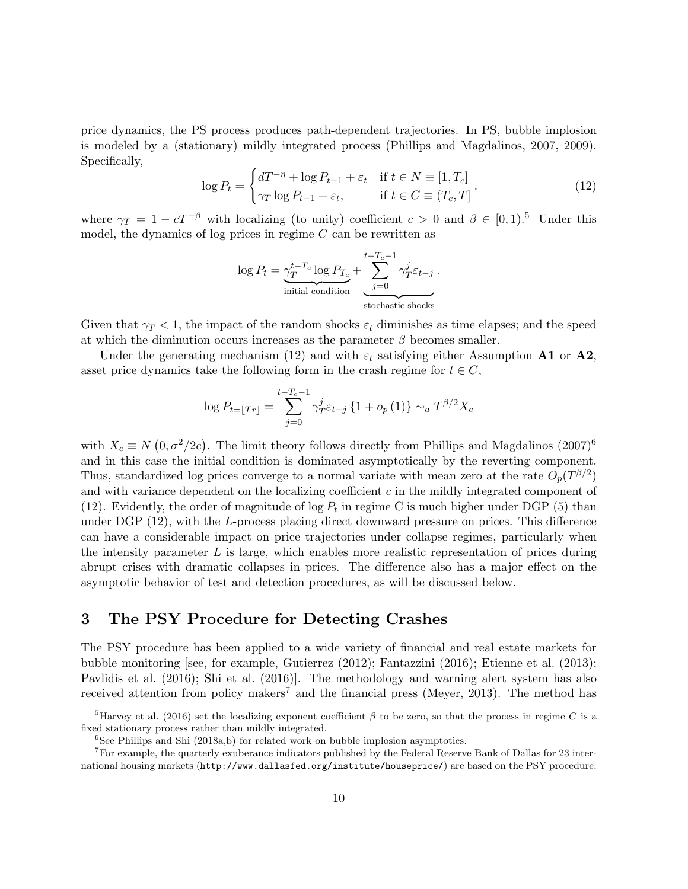price dynamics, the PS process produces path-dependent trajectories. In PS, bubble implosion is modeled by a (stationary) mildly integrated process [\(Phillips and Magdalinos,](#page-26-8) [2007,](#page-26-8) [2009\)](#page-26-9). Specifically,

<span id="page-9-1"></span>
$$
\log P_t = \begin{cases} dT^{-\eta} + \log P_{t-1} + \varepsilon_t & \text{if } t \in N \equiv [1, T_c] \\ \gamma_T \log P_{t-1} + \varepsilon_t, & \text{if } t \in C \equiv (T_c, T] \end{cases} \tag{12}
$$

where  $\gamma_T = 1 - cT^{-\beta}$  with localizing (to unity) coefficient  $c > 0$  and  $\beta \in [0, 1)$ .<sup>[5](#page-9-0)</sup> Under this model, the dynamics of log prices in regime  $C$  can be rewritten as

$$
\log P_t = \underbrace{\gamma_T^{t-T_c} \log P_{T_c}}_{\text{initial condition}} + \underbrace{\sum_{j=0}^{t-T_c-1} \gamma_T^j \varepsilon_{t-j}}_{\text{stochastic shocks}}.
$$

Given that  $\gamma_T < 1$ , the impact of the random shocks  $\varepsilon_t$  diminishes as time elapses; and the speed at which the diminution occurs increases as the parameter  $\beta$  becomes smaller.

Under the generating mechanism [\(12\)](#page-9-1) and with  $\varepsilon_t$  satisfying either Assumption A1 or A2, asset price dynamics take the following form in the crash regime for  $t \in C$ ,

$$
\log P_{t=\lfloor Tr \rfloor} = \sum_{j=0}^{t-T_c-1} \gamma_T^j \varepsilon_{t-j} \left\{ 1 + o_p(1) \right\} \sim_a T^{\beta/2} X_c
$$

with  $X_c \equiv N(0, \sigma^2/2c)$ . The limit theory follows directly from [Phillips and Magdalinos](#page-26-8)  $(2007)^6$  $(2007)^6$  $(2007)^6$ and in this case the initial condition is dominated asymptotically by the reverting component. Thus, standardized log prices converge to a normal variate with mean zero at the rate  $O_p(T^{\beta/2})$ and with variance dependent on the localizing coefficient  $c$  in the mildly integrated component of [\(12\)](#page-9-1). Evidently, the order of magnitude of  $\log P_t$  in regime C is much higher under DGP [\(5\)](#page-5-1) than under DGP [\(12\)](#page-9-1), with the L-process placing direct downward pressure on prices. This difference can have a considerable impact on price trajectories under collapse regimes, particularly when the intensity parameter  $L$  is large, which enables more realistic representation of prices during abrupt crises with dramatic collapses in prices. The difference also has a major effect on the asymptotic behavior of test and detection procedures, as will be discussed below.

### 3 The PSY Procedure for Detecting Crashes

The PSY procedure has been applied to a wide variety of financial and real estate markets for bubble monitoring [see, for example, [Gutierrez](#page-25-10) [\(2012\)](#page-25-10); [Fantazzini](#page-25-7) [\(2016\)](#page-25-7); [Etienne et al.](#page-25-11) [\(2013\)](#page-25-11); [Pavlidis et al.](#page-26-10) [\(2016\)](#page-26-10); [Shi et al.](#page-27-7) [\(2016\)](#page-27-7)]. The methodology and warning alert system has also received attention from policy makers<sup>[7](#page-9-3)</sup> and the financial press [\(Meyer,](#page-26-11) [2013\)](#page-26-11). The method has

<span id="page-9-0"></span><sup>&</sup>lt;sup>5</sup>[Harvey et al.](#page-25-5) [\(2016\)](#page-25-5) set the localizing exponent coefficient  $\beta$  to be zero, so that the process in regime C is a fixed stationary process rather than mildly integrated.

<span id="page-9-3"></span><span id="page-9-2"></span> ${}^{6}$ See [Phillips and Shi](#page-26-2) (2018a,b) for related work on bubble implosion asymptotics.

<sup>7</sup>For example, the quarterly exuberance indicators published by the Federal Reserve Bank of Dallas for 23 international housing markets (<http://www.dallasfed.org/institute/houseprice/>) are based on the PSY procedure.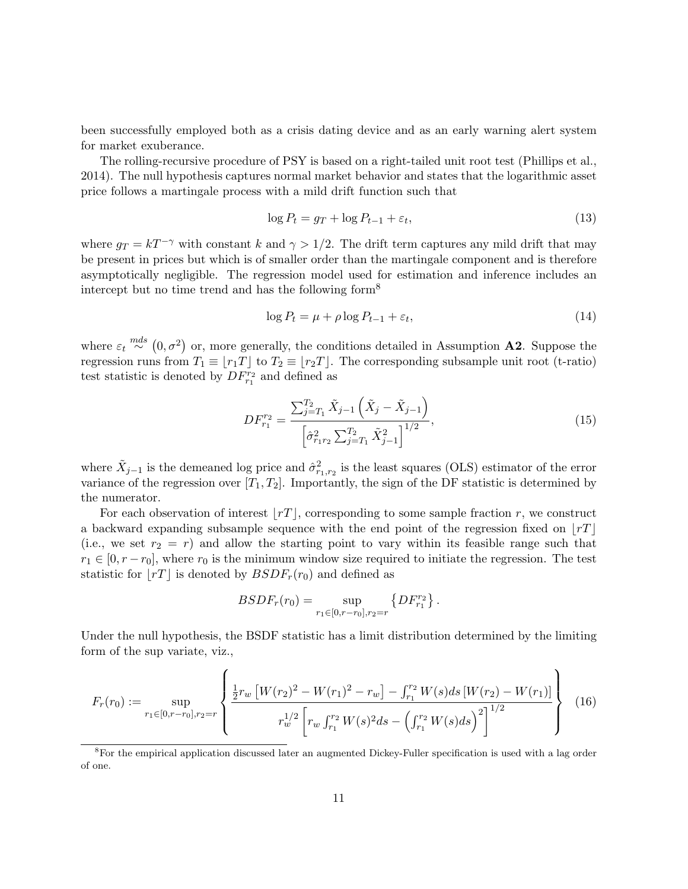been successfully employed both as a crisis dating device and as an early warning alert system for market exuberance.

The rolling-recursive procedure of PSY is based on a right-tailed unit root test [\(Phillips et al.,](#page-27-8) [2014\)](#page-27-8). The null hypothesis captures normal market behavior and states that the logarithmic asset price follows a martingale process with a mild drift function such that

<span id="page-10-2"></span>
$$
\log P_t = g_T + \log P_{t-1} + \varepsilon_t,\tag{13}
$$

where  $g_T = kT^{-\gamma}$  with constant k and  $\gamma > 1/2$ . The drift term captures any mild drift that may be present in prices but which is of smaller order than the martingale component and is therefore asymptotically negligible. The regression model used for estimation and inference includes an intercept but no time trend and has the following form<sup>[8](#page-10-0)</sup>

<span id="page-10-1"></span>
$$
\log P_t = \mu + \rho \log P_{t-1} + \varepsilon_t,\tag{14}
$$

where  $\varepsilon_t \stackrel{mds}{\sim} (0, \sigma^2)$  or, more generally, the conditions detailed in Assumption **A2**. Suppose the regression runs from  $T_1 \equiv |r_1T|$  to  $T_2 \equiv |r_2T|$ . The corresponding subsample unit root (t-ratio) test statistic is denoted by  $DF^{r_2}_{r_1}$  and defined as

<span id="page-10-3"></span>
$$
DF_{r_1}^{r_2} = \frac{\sum_{j=T_1}^{T_2} \tilde{X}_{j-1} \left( \tilde{X}_j - \tilde{X}_{j-1} \right)}{\left[ \hat{\sigma}_{r_1 r_2}^2 \sum_{j=T_1}^{T_2} \tilde{X}_{j-1}^2 \right]^{1/2}},\tag{15}
$$

where  $\tilde{X}_{j-1}$  is the demeaned log price and  $\hat{\sigma}_{r_1,r_2}^2$  is the least squares (OLS) estimator of the error variance of the regression over  $[T_1, T_2]$ . Importantly, the sign of the DF statistic is determined by the numerator.

For each observation of interest  $\lfloor rT \rfloor$ , corresponding to some sample fraction r, we construct a backward expanding subsample sequence with the end point of the regression fixed on  $\lfloor rT \rfloor$ (i.e., we set  $r_2 = r$ ) and allow the starting point to vary within its feasible range such that  $r_1 \in [0, r - r_0]$ , where  $r_0$  is the minimum window size required to initiate the regression. The test statistic for  $\left| rT \right|$  is denoted by  $BSDF_r(r_0)$  and defined as

$$
BSDF_r(r_0)=\sup_{r_1\in[0,r-r_0],r_2=r}\left\{DF_{r_1}^{r_2}\right\}.
$$

Under the null hypothesis, the BSDF statistic has a limit distribution determined by the limiting form of the sup variate, viz.,

<span id="page-10-4"></span>
$$
F_r(r_0) := \sup_{r_1 \in [0, r-r_0], r_2 = r} \left\{ \frac{\frac{1}{2} r_w \left[ W(r_2)^2 - W(r_1)^2 - r_w \right] - \int_{r_1}^{r_2} W(s) ds \left[ W(r_2) - W(r_1) \right]}{r_w^{1/2} \left[ r_w \int_{r_1}^{r_2} W(s)^2 ds - \left( \int_{r_1}^{r_2} W(s) ds \right)^2 \right]^{1/2}} \right\} \tag{16}
$$

<span id="page-10-0"></span><sup>&</sup>lt;sup>8</sup>For the empirical application discussed later an augmented Dickey-Fuller specification is used with a lag order of one.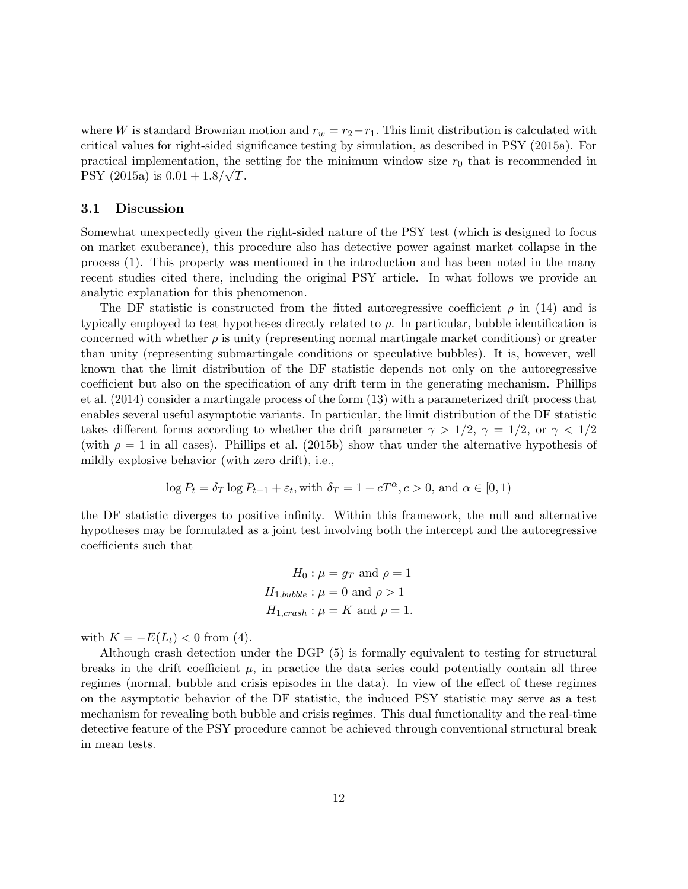where W is standard Brownian motion and  $r_w = r_2 - r_1$ . This limit distribution is calculated with critical values for right-sided significance testing by simulation, as described in PSY (2015a). For practical implementation, the setting for the minimum window size  $r_0$  that is recommended in PSY (2015a) is  $0.01 + 1.8/\sqrt{T}$ .

### 3.1 Discussion

Somewhat unexpectedly given the right-sided nature of the PSY test (which is designed to focus on market exuberance), this procedure also has detective power against market collapse in the process [\(1\)](#page-4-0). This property was mentioned in the introduction and has been noted in the many recent studies cited there, including the original PSY article. In what follows we provide an analytic explanation for this phenomenon.

The DF statistic is constructed from the fitted autoregressive coefficient  $\rho$  in [\(14\)](#page-10-1) and is typically employed to test hypotheses directly related to  $\rho$ . In particular, bubble identification is concerned with whether  $\rho$  is unity (representing normal martingale market conditions) or greater than unity (representing submartingale conditions or speculative bubbles). It is, however, well known that the limit distribution of the DF statistic depends not only on the autoregressive coefficient but also on the specification of any drift term in the generating mechanism. [Phillips](#page-27-8) [et al.](#page-27-8) [\(2014\)](#page-27-8) consider a martingale process of the form [\(13\)](#page-10-2) with a parameterized drift process that enables several useful asymptotic variants. In particular, the limit distribution of the DF statistic takes different forms according to whether the drift parameter  $\gamma > 1/2$ ,  $\gamma = 1/2$ , or  $\gamma < 1/2$ (with  $\rho = 1$  in all cases). [Phillips et al.](#page-27-2) [\(2015b\)](#page-27-2) show that under the alternative hypothesis of mildly explosive behavior (with zero drift), i.e.,

$$
\log P_t = \delta_T \log P_{t-1} + \varepsilon_t
$$
, with  $\delta_T = 1 + cT^{\alpha}$ ,  $c > 0$ , and  $\alpha \in [0, 1)$ 

the DF statistic diverges to positive infinity. Within this framework, the null and alternative hypotheses may be formulated as a joint test involving both the intercept and the autoregressive coefficients such that

$$
H_0: \mu = g_T \text{ and } \rho = 1
$$
  

$$
H_{1,bubble}: \mu = 0 \text{ and } \rho > 1
$$
  

$$
H_{1,crash}: \mu = K \text{ and } \rho = 1.
$$

with  $K = -E(L_t) < 0$  from [\(4\)](#page-4-2).

Although crash detection under the DGP [\(5\)](#page-5-1) is formally equivalent to testing for structural breaks in the drift coefficient  $\mu$ , in practice the data series could potentially contain all three regimes (normal, bubble and crisis episodes in the data). In view of the effect of these regimes on the asymptotic behavior of the DF statistic, the induced PSY statistic may serve as a test mechanism for revealing both bubble and crisis regimes. This dual functionality and the real-time detective feature of the PSY procedure cannot be achieved through conventional structural break in mean tests.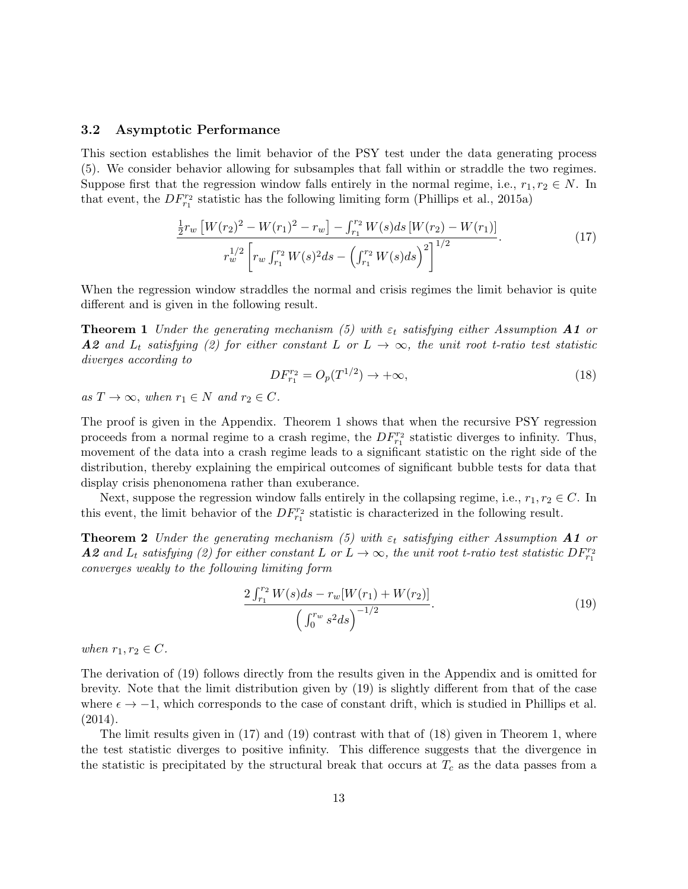#### 3.2 Asymptotic Performance

This section establishes the limit behavior of the PSY test under the data generating process [\(5\)](#page-5-1). We consider behavior allowing for subsamples that fall within or straddle the two regimes. Suppose first that the regression window falls entirely in the normal regime, i.e.,  $r_1, r_2 \in N$ . In that event, the  $DF_{r_1}^{r_2}$  statistic has the following limiting form [\(Phillips et al.,](#page-27-1) [2015a\)](#page-27-1)

<span id="page-12-2"></span>
$$
\frac{\frac{1}{2}r_w \left[W(r_2)^2 - W(r_1)^2 - r_w\right] - \int_{r_1}^{r_2} W(s)ds \left[W(r_2) - W(r_1)\right]}{r_w^{1/2} \left[r_w \int_{r_1}^{r_2} W(s)^2 ds - \left(\int_{r_1}^{r_2} W(s)ds\right)^2\right]^{1/2}}.
$$
\n(17)

When the regression window straddles the normal and crisis regimes the limit behavior is quite different and is given in the following result.

**Theorem 1** Under the generating mechanism [\(5\)](#page-5-1) with  $\varepsilon_t$  satisfying either Assumption **A1** or A2 and  $L_t$  satisfying [\(2\)](#page-4-1) for either constant L or  $L \rightarrow \infty$ , the unit root t-ratio test statistic diverges according to

<span id="page-12-3"></span><span id="page-12-0"></span>
$$
DF_{r_1}^{r_2} = O_p(T^{1/2}) \to +\infty,
$$
\n(18)

as  $T \to \infty$ , when  $r_1 \in N$  and  $r_2 \in C$ .

The proof is given in the Appendix. Theorem [1](#page-12-0) shows that when the recursive PSY regression proceeds from a normal regime to a crash regime, the  $DF_{r_1}^{r_2}$  statistic diverges to infinity. Thus, movement of the data into a crash regime leads to a significant statistic on the right side of the distribution, thereby explaining the empirical outcomes of significant bubble tests for data that display crisis phenonomena rather than exuberance.

Next, suppose the regression window falls entirely in the collapsing regime, i.e.,  $r_1, r_2 \in C$ . In this event, the limit behavior of the  $DF_{r_1}^{r_2}$  statistic is characterized in the following result.

**Theorem 2** Under the generating mechanism [\(5\)](#page-5-1) with  $\varepsilon_t$  satisfying either Assumption **A1** or **A2** and  $L_t$  satisfying [\(2\)](#page-4-1) for either constant L or  $L \to \infty$ , the unit root t-ratio test statistic  $DF_{r_1}^{r_2}$ converges weakly to the following limiting form

<span id="page-12-1"></span>
$$
\frac{2\int_{r_1}^{r_2} W(s)ds - r_w[W(r_1) + W(r_2)]}{\left(\int_0^{r_w} s^2 ds\right)^{-1/2}}.
$$
\n(19)

when  $r_1, r_2 \in C$ .

The derivation of [\(19\)](#page-12-1) follows directly from the results given in the Appendix and is omitted for brevity. Note that the limit distribution given by [\(19\)](#page-12-1) is slightly different from that of the case where  $\epsilon \to -1$ , which corresponds to the case of constant drift, which is studied in [Phillips et al.](#page-27-8)  $(2014).$  $(2014).$ 

The limit results given in [\(17\)](#page-12-2) and [\(19\)](#page-12-1) contrast with that of [\(18\)](#page-12-3) given in Theorem [1,](#page-12-0) where the test statistic diverges to positive infinity. This difference suggests that the divergence in the statistic is precipitated by the structural break that occurs at  $T_c$  as the data passes from a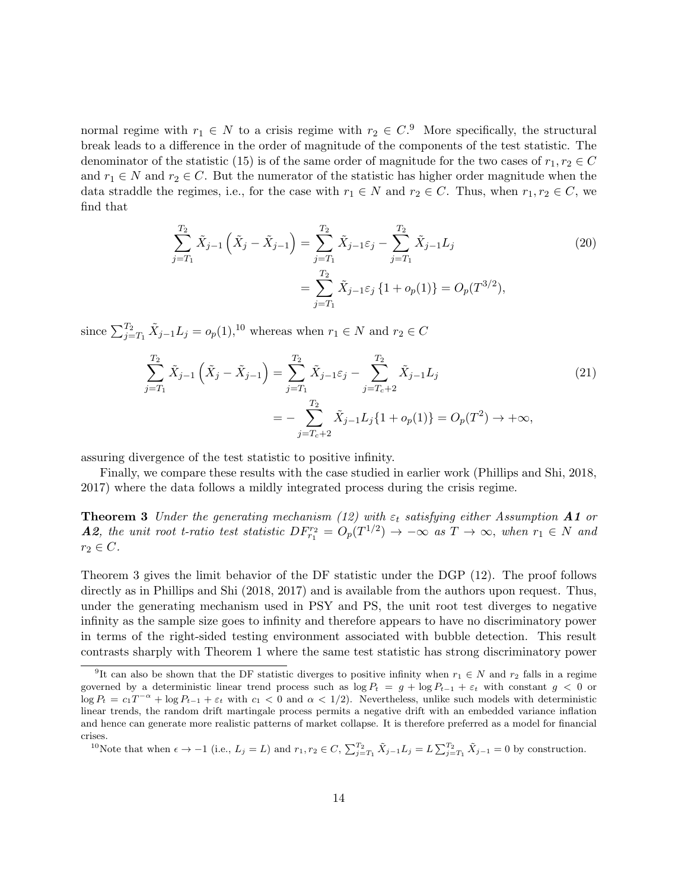normal regime with  $r_1 \in N$  to a crisis regime with  $r_2 \in C$ .<sup>[9](#page-13-0)</sup> More specifically, the structural break leads to a difference in the order of magnitude of the components of the test statistic. The denominator of the statistic [\(15\)](#page-10-3) is of the same order of magnitude for the two cases of  $r_1, r_2 \in C$ and  $r_1 \in N$  and  $r_2 \in C$ . But the numerator of the statistic has higher order magnitude when the data straddle the regimes, i.e., for the case with  $r_1 \in N$  and  $r_2 \in C$ . Thus, when  $r_1, r_2 \in C$ , we find that

$$
\sum_{j=T_1}^{T_2} \tilde{X}_{j-1} \left( \tilde{X}_j - \tilde{X}_{j-1} \right) = \sum_{j=T_1}^{T_2} \tilde{X}_{j-1} \varepsilon_j - \sum_{j=T_1}^{T_2} \tilde{X}_{j-1} L_j
$$
\n
$$
= \sum_{j=T_1}^{T_2} \tilde{X}_{j-1} \varepsilon_j \left\{ 1 + o_p(1) \right\} = O_p(T^{3/2}),
$$
\n(20)

since  $\sum_{j=T_1}^{T_2} \tilde{X}_{j-1} L_j = o_p(1)$ ,<sup>[10](#page-13-1)</sup> whereas when  $r_1 \in N$  and  $r_2 \in C$ 

$$
\sum_{j=T_1}^{T_2} \tilde{X}_{j-1} \left( \tilde{X}_j - \tilde{X}_{j-1} \right) = \sum_{j=T_1}^{T_2} \tilde{X}_{j-1} \varepsilon_j - \sum_{j=T_c+2}^{T_2} \tilde{X}_{j-1} L_j
$$
\n
$$
= -\sum_{j=T_c+2}^{T_2} \tilde{X}_{j-1} L_j \{ 1 + o_p(1) \} = O_p(T^2) \to +\infty,
$$
\n(21)

assuring divergence of the test statistic to positive infinity.

Finally, we compare these results with the case studied in earlier work [\(Phillips and Shi,](#page-26-2) [2018,](#page-26-2) [2017\)](#page-26-3) where the data follows a mildly integrated process during the crisis regime.

<span id="page-13-2"></span>**Theorem 3** Under the generating mechanism [\(12\)](#page-9-1) with  $\varepsilon_t$  satisfying either Assumption **A1** or **A2**, the unit root t-ratio test statistic  $DF_{r_1}^{r_2} = O_p(T^{1/2}) \rightarrow -\infty$  as  $T \rightarrow \infty$ , when  $r_1 \in N$  and  $r_2 \in C$ .

Theorem [3](#page-13-2) gives the limit behavior of the DF statistic under the DGP [\(12\)](#page-9-1). The proof follows directly as in [Phillips and Shi](#page-26-2) [\(2018,](#page-26-2) [2017\)](#page-26-3) and is available from the authors upon request. Thus, under the generating mechanism used in PSY and PS, the unit root test diverges to negative infinity as the sample size goes to infinity and therefore appears to have no discriminatory power in terms of the right-sided testing environment associated with bubble detection. This result contrasts sharply with Theorem [1](#page-12-0) where the same test statistic has strong discriminatory power

<span id="page-13-1"></span><sup>10</sup>Note that when  $\epsilon \to -1$  (i.e.,  $L_j = L$ ) and  $r_1, r_2 \in C$ ,  $\sum_{j=T_1}^{T_2} \tilde{X}_{j-1} L_j = L \sum_{j=T_1}^{T_2} \tilde{X}_{j-1} = 0$  by construction.

<span id="page-13-0"></span><sup>&</sup>lt;sup>9</sup>It can also be shown that the DF statistic diverges to positive infinity when  $r_1 \in N$  and  $r_2$  falls in a regime governed by a deterministic linear trend process such as  $\log P_t = g + \log P_{t-1} + \varepsilon_t$  with constant  $g < 0$  or  $\log P_t = c_1 T^{-\alpha} + \log P_{t-1} + \varepsilon_t$  with  $c_1 < 0$  and  $\alpha < 1/2$ ). Nevertheless, unlike such models with deterministic linear trends, the random drift martingale process permits a negative drift with an embedded variance inflation and hence can generate more realistic patterns of market collapse. It is therefore preferred as a model for financial crises.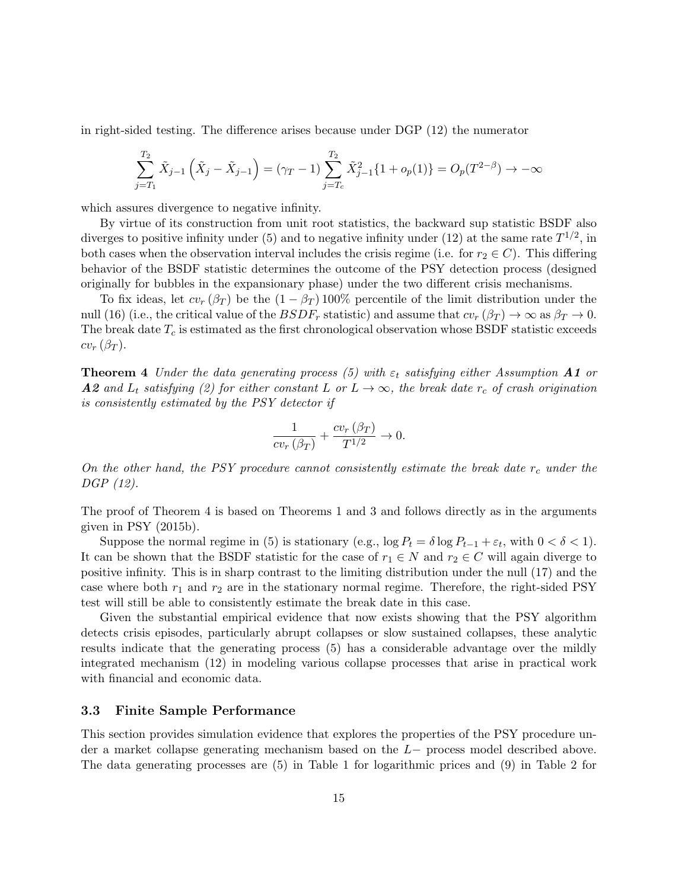in right-sided testing. The difference arises because under DGP [\(12\)](#page-9-1) the numerator

$$
\sum_{j=T_1}^{T_2} \tilde{X}_{j-1} \left( \tilde{X}_j - \tilde{X}_{j-1} \right) = (\gamma_T - 1) \sum_{j=T_c}^{T_2} \tilde{X}_{j-1}^2 \{ 1 + o_p(1) \} = O_p(T^{2-\beta}) \to -\infty
$$

which assures divergence to negative infinity.

By virtue of its construction from unit root statistics, the backward sup statistic BSDF also diverges to positive infinity under [\(5\)](#page-5-1) and to negative infinity under [\(12\)](#page-9-1) at the same rate  $T^{1/2}$ , in both cases when the observation interval includes the crisis regime (i.e. for  $r_2 \in C$ ). This differing behavior of the BSDF statistic determines the outcome of the PSY detection process (designed originally for bubbles in the expansionary phase) under the two different crisis mechanisms.

To fix ideas, let  $cv_r(\beta_T)$  be the  $(1 - \beta_T)$  100% percentile of the limit distribution under the null [\(16\)](#page-10-4) (i.e., the critical value of the  $BSDF_r$  statistic) and assume that  $cv_r (\beta_T) \to \infty$  as  $\beta_T \to 0$ . The break date  $T_c$  is estimated as the first chronological observation whose BSDF statistic exceeds  $cv_r(\beta_T)$ .

<span id="page-14-0"></span>**Theorem 4** Under the data generating process [\(5\)](#page-5-1) with  $\varepsilon_t$  satisfying either Assumption **A1** or **A2** and  $L_t$  satisfying [\(2\)](#page-4-1) for either constant L or  $L \rightarrow \infty$ , the break date  $r_c$  of crash origination is consistently estimated by the PSY detector if

$$
\frac{1}{cv_r(\beta_T)} + \frac{cv_r(\beta_T)}{T^{1/2}} \to 0.
$$

On the other hand, the PSY procedure cannot consistently estimate the break date  $r_c$  under the DGP [\(12\)](#page-9-1).

The proof of Theorem [4](#page-14-0) is based on Theorems [1](#page-12-0) and [3](#page-13-2) and follows directly as in the arguments given in PSY [\(2015b\)](#page-27-2).

Suppose the normal regime in [\(5\)](#page-5-1) is stationary (e.g.,  $\log P_t = \delta \log P_{t-1} + \varepsilon_t$ , with  $0 < \delta < 1$ ). It can be shown that the BSDF statistic for the case of  $r_1 \in N$  and  $r_2 \in C$  will again diverge to positive infinity. This is in sharp contrast to the limiting distribution under the null [\(17\)](#page-12-2) and the case where both  $r_1$  and  $r_2$  are in the stationary normal regime. Therefore, the right-sided PSY test will still be able to consistently estimate the break date in this case.

Given the substantial empirical evidence that now exists showing that the PSY algorithm detects crisis episodes, particularly abrupt collapses or slow sustained collapses, these analytic results indicate that the generating process [\(5\)](#page-5-1) has a considerable advantage over the mildly integrated mechanism [\(12\)](#page-9-1) in modeling various collapse processes that arise in practical work with financial and economic data.

### 3.3 Finite Sample Performance

This section provides simulation evidence that explores the properties of the PSY procedure under a market collapse generating mechanism based on the L− process model described above. The data generating processes are [\(5\)](#page-5-1) in Table [1](#page-16-0) for logarithmic prices and [\(9\)](#page-6-2) in Table [2](#page-17-0) for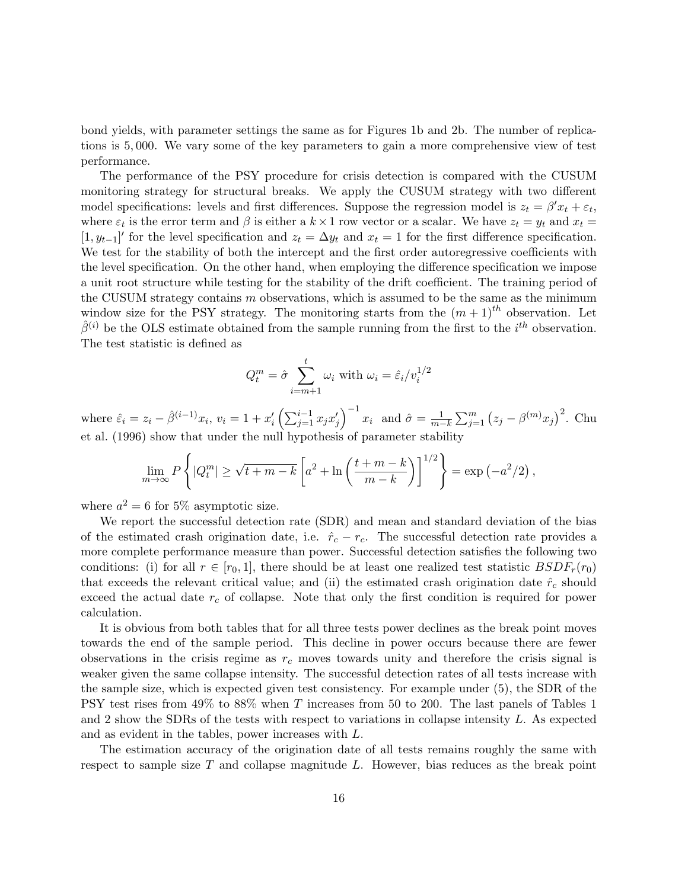bond yields, with parameter settings the same as for Figures [1b](#page-6-0) and [2b.](#page-7-0) The number of replications is 5, 000. We vary some of the key parameters to gain a more comprehensive view of test performance.

The performance of the PSY procedure for crisis detection is compared with the CUSUM monitoring strategy for structural breaks. We apply the CUSUM strategy with two different model specifications: levels and first differences. Suppose the regression model is  $z_t = \beta' x_t + \varepsilon_t$ , where  $\varepsilon_t$  is the error term and  $\beta$  is either a  $k \times 1$  row vector or a scalar. We have  $z_t = y_t$  and  $x_t =$ [1,  $y_{t-1}$ ]' for the level specification and  $z_t = \Delta y_t$  and  $x_t = 1$  for the first difference specification. We test for the stability of both the intercept and the first order autoregressive coefficients with the level specification. On the other hand, when employing the difference specification we impose a unit root structure while testing for the stability of the drift coefficient. The training period of the CUSUM strategy contains  $m$  observations, which is assumed to be the same as the minimum window size for the PSY strategy. The monitoring starts from the  $(m+1)$ <sup>th</sup> observation. Let  $\hat{\beta}^{(i)}$  be the OLS estimate obtained from the sample running from the first to the  $i^{th}$  observation. The test statistic is defined as

$$
Q_t^m = \hat{\sigma} \sum_{i=m+1}^t \omega_i \text{ with } \omega_i = \hat{\varepsilon}_i / v_i^{1/2}
$$

where  $\hat{\varepsilon}_i = z_i - \hat{\beta}^{(i-1)} x_i$ ,  $v_i = 1 + x_i' \left( \sum_{j=1}^{i-1} x_j x_j' \right)^{-1} x_i$  and  $\hat{\sigma} = \frac{1}{m-k} \sum_{j=1}^{m} (z_j - \beta^{(m)} x_j)^2$ . [Chu](#page-25-12) [et al.](#page-25-12) [\(1996\)](#page-25-12) show that under the null hypothesis of parameter stability

$$
\lim_{m \to \infty} P\left\{ |Q_t^m| \ge \sqrt{t+m-k} \left[ a^2 + \ln\left(\frac{t+m-k}{m-k}\right) \right]^{1/2} \right\} = \exp\left(-a^2/2\right),
$$

where  $a^2 = 6$  for 5% asymptotic size.

We report the successful detection rate (SDR) and mean and standard deviation of the bias of the estimated crash origination date, i.e.  $\hat{r}_c - r_c$ . The successful detection rate provides a more complete performance measure than power. Successful detection satisfies the following two conditions: (i) for all  $r \in [r_0, 1]$ , there should be at least one realized test statistic  $BSDF_r(r_0)$ that exceeds the relevant critical value; and (ii) the estimated crash origination date  $\hat{r}_c$  should exceed the actual date  $r_c$  of collapse. Note that only the first condition is required for power calculation.

It is obvious from both tables that for all three tests power declines as the break point moves towards the end of the sample period. This decline in power occurs because there are fewer observations in the crisis regime as  $r_c$  moves towards unity and therefore the crisis signal is weaker given the same collapse intensity. The successful detection rates of all tests increase with the sample size, which is expected given test consistency. For example under [\(5\)](#page-5-1), the SDR of the PSY test rises from 49% to 88% when T increases from 50 to 200. The last panels of Tables [1](#page-16-0) and [2](#page-17-0) show the SDRs of the tests with respect to variations in collapse intensity L. As expected and as evident in the tables, power increases with L.

The estimation accuracy of the origination date of all tests remains roughly the same with respect to sample size  $T$  and collapse magnitude  $L$ . However, bias reduces as the break point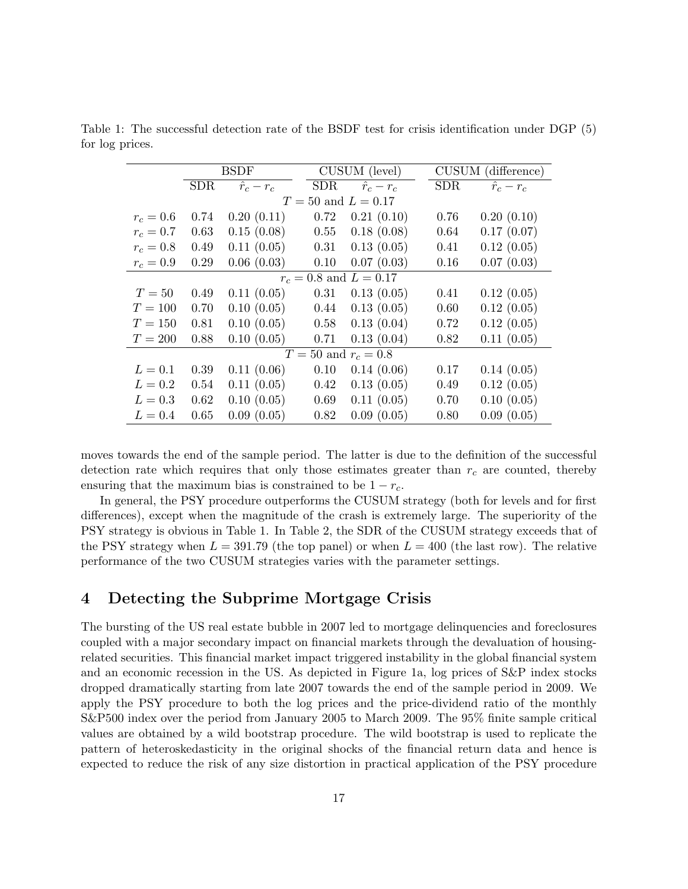|                            | <b>BSDF</b> |                 |            | CUSUM (level)   |            | CUSUM (difference) |  |  |  |  |
|----------------------------|-------------|-----------------|------------|-----------------|------------|--------------------|--|--|--|--|
|                            | <b>SDR</b>  | $\hat{r}_c-r_c$ | <b>SDR</b> | $\hat{r}_c-r_c$ | <b>SDR</b> | $\hat{r}_c-r_c$    |  |  |  |  |
| $T = 50$ and $L = 0.17$    |             |                 |            |                 |            |                    |  |  |  |  |
| $r_c = 0.6$                | 0.74        | 0.20(0.11)      | 0.72       | 0.21(0.10)      | 0.76       | 0.20(0.10)         |  |  |  |  |
| $r_c = 0.7$                | 0.63        | 0.15(0.08)      | 0.55       | 0.18(0.08)      | 0.64       | 0.17(0.07)         |  |  |  |  |
| $r_c = 0.8$                | 0.49        | 0.11(0.05)      | 0.31       | 0.13(0.05)      | 0.41       | 0.12(0.05)         |  |  |  |  |
| $r_c = 0.9$                | 0.29        | 0.06(0.03)      | 0.10       | 0.07(0.03)      | 0.16       | 0.07(0.03)         |  |  |  |  |
| $r_c = 0.8$ and $L = 0.17$ |             |                 |            |                 |            |                    |  |  |  |  |
| $T=50$                     | 0.49        | 0.11(0.05)      | 0.31       | 0.13(0.05)      | 0.41       | 0.12(0.05)         |  |  |  |  |
| $T=100$                    | 0.70        | 0.10(0.05)      | 0.44       | 0.13(0.05)      | 0.60       | 0.12(0.05)         |  |  |  |  |
| $T=150$                    | 0.81        | 0.10(0.05)      | 0.58       | 0.13(0.04)      | 0.72       | 0.12(0.05)         |  |  |  |  |
| $T=200$                    | 0.88        | 0.10(0.05)      | 0.71       | 0.13(0.04)      | 0.82       | 0.11(0.05)         |  |  |  |  |
| $T = 50$ and $r_c = 0.8$   |             |                 |            |                 |            |                    |  |  |  |  |
| $L=0.1$                    | 0.39        | 0.11(0.06)      | 0.10       | 0.14(0.06)      | 0.17       | 0.14(0.05)         |  |  |  |  |
| $L=0.2$                    | 0.54        | 0.11(0.05)      | 0.42       | 0.13(0.05)      | 0.49       | 0.12(0.05)         |  |  |  |  |
| $L=0.3$                    | 0.62        | 0.10(0.05)      | 0.69       | 0.11(0.05)      | 0.70       | 0.10(0.05)         |  |  |  |  |
| $L=0.4$                    | 0.65        | 0.09(0.05)      | 0.82       | 0.09(0.05)      | 0.80       | 0.09(0.05)         |  |  |  |  |

<span id="page-16-0"></span>Table 1: The successful detection rate of the BSDF test for crisis identification under DGP [\(5\)](#page-5-1) for log prices.

moves towards the end of the sample period. The latter is due to the definition of the successful detection rate which requires that only those estimates greater than  $r_c$  are counted, thereby ensuring that the maximum bias is constrained to be  $1 - r_c$ .

In general, the PSY procedure outperforms the CUSUM strategy (both for levels and for first differences), except when the magnitude of the crash is extremely large. The superiority of the PSY strategy is obvious in Table [1.](#page-16-0) In Table [2,](#page-17-0) the SDR of the CUSUM strategy exceeds that of the PSY strategy when  $L = 391.79$  (the top panel) or when  $L = 400$  (the last row). The relative performance of the two CUSUM strategies varies with the parameter settings.

### 4 Detecting the Subprime Mortgage Crisis

The bursting of the US real estate bubble in 2007 led to mortgage delinquencies and foreclosures coupled with a major secondary impact on financial markets through the devaluation of housingrelated securities. This financial market impact triggered instability in the global financial system and an economic recession in the US. As depicted in Figure [1a,](#page-6-1) log prices of S&P index stocks dropped dramatically starting from late 2007 towards the end of the sample period in 2009. We apply the PSY procedure to both the log prices and the price-dividend ratio of the monthly S&P500 index over the period from January 2005 to March 2009. The 95% finite sample critical values are obtained by a wild bootstrap procedure. The wild bootstrap is used to replicate the pattern of heteroskedasticity in the original shocks of the financial return data and hence is expected to reduce the risk of any size distortion in practical application of the PSY procedure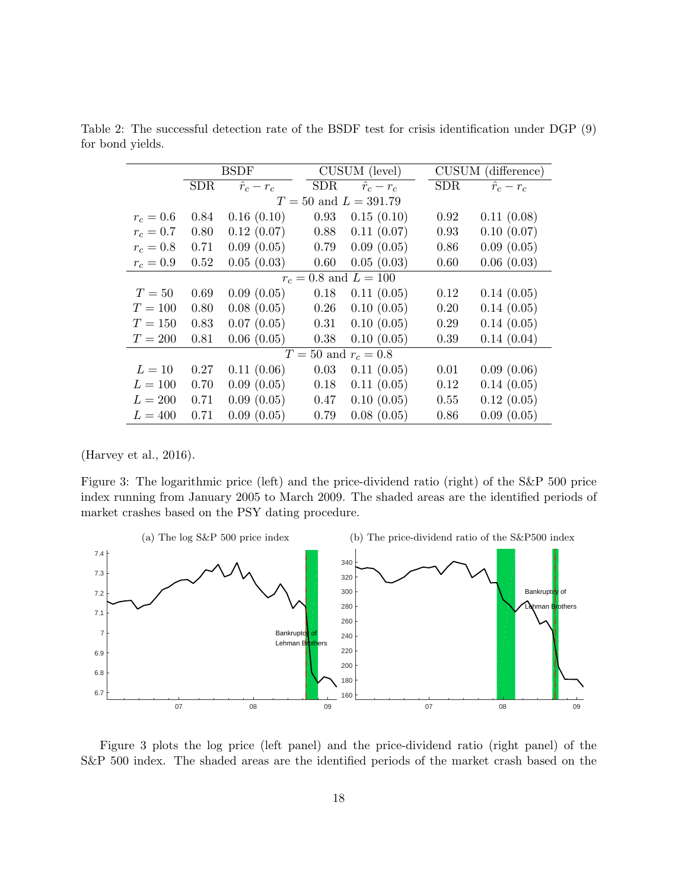|                           | <b>BSDF</b> |                 |            | CUSUM (level)   |            | CUSUM (difference) |  |  |  |  |
|---------------------------|-------------|-----------------|------------|-----------------|------------|--------------------|--|--|--|--|
|                           | <b>SDR</b>  | $\hat{r}_c-r_c$ | <b>SDR</b> | $\hat{r}_c-r_c$ | <b>SDR</b> | $\hat{r}_c-r_c$    |  |  |  |  |
| $T = 50$ and $L = 391.79$ |             |                 |            |                 |            |                    |  |  |  |  |
| $r_c = 0.6$               | 0.84        | 0.16(0.10)      | 0.93       | 0.15(0.10)      | 0.92       | 0.11(0.08)         |  |  |  |  |
| $r_c = 0.7$               | 0.80        | 0.12(0.07)      | 0.88       | 0.11(0.07)      | 0.93       | 0.10(0.07)         |  |  |  |  |
| $r_c = 0.8$               | 0.71        | 0.09(0.05)      | 0.79       | 0.09(0.05)      | 0.86       | 0.09(0.05)         |  |  |  |  |
| $r_c = 0.9$               | 0.52        | 0.05(0.03)      | 0.60       | 0.05(0.03)      | 0.60       | 0.06(0.03)         |  |  |  |  |
| $r_c = 0.8$ and $L = 100$ |             |                 |            |                 |            |                    |  |  |  |  |
| $T=50$                    | 0.69        | 0.09(0.05)      | 0.18       | 0.11(0.05)      | 0.12       | 0.14(0.05)         |  |  |  |  |
| $T=100$                   | 0.80        | 0.08(0.05)      | 0.26       | 0.10(0.05)      | 0.20       | 0.14(0.05)         |  |  |  |  |
| $T = 150$                 | 0.83        | 0.07(0.05)      | 0.31       | 0.10(0.05)      | 0.29       | 0.14(0.05)         |  |  |  |  |
| $T=200$                   | 0.81        | 0.06(0.05)      | 0.38       | 0.10(0.05)      | 0.39       | 0.14(0.04)         |  |  |  |  |
| $T = 50$ and $r_c = 0.8$  |             |                 |            |                 |            |                    |  |  |  |  |
| $L=10$                    | 0.27        | 0.11(0.06)      | 0.03       | 0.11(0.05)      | 0.01       | 0.09(0.06)         |  |  |  |  |
| $L = 100$                 | 0.70        | 0.09(0.05)      | 0.18       | 0.11(0.05)      | 0.12       | 0.14(0.05)         |  |  |  |  |
| $L = 200$                 | 0.71        | 0.09(0.05)      | 0.47       | 0.10(0.05)      | 0.55       | 0.12(0.05)         |  |  |  |  |
| $L = 400$                 | 0.71        | 0.09(0.05)      | 0.79       | 0.08(0.05)      | 0.86       | 0.09(0.05)         |  |  |  |  |

<span id="page-17-0"></span>Table 2: The successful detection rate of the BSDF test for crisis identification under DGP [\(9\)](#page-6-2) for bond yields.

[\(Harvey et al.,](#page-25-5) [2016\)](#page-25-5).

<span id="page-17-1"></span>Figure 3: The logarithmic price (left) and the price-dividend ratio (right) of the S&P 500 price index running from January 2005 to March 2009. The shaded areas are the identified periods of market crashes based on the PSY dating procedure.



Figure [3](#page-17-1) plots the log price (left panel) and the price-dividend ratio (right panel) of the S&P 500 index. The shaded areas are the identified periods of the market crash based on the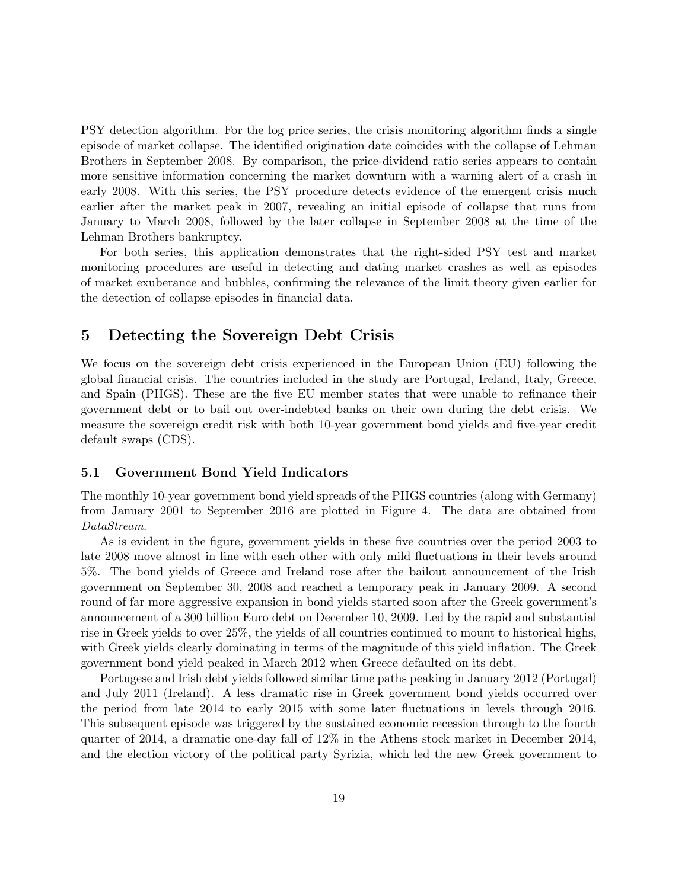PSY detection algorithm. For the log price series, the crisis monitoring algorithm finds a single episode of market collapse. The identified origination date coincides with the collapse of Lehman Brothers in September 2008. By comparison, the price-dividend ratio series appears to contain more sensitive information concerning the market downturn with a warning alert of a crash in early 2008. With this series, the PSY procedure detects evidence of the emergent crisis much earlier after the market peak in 2007, revealing an initial episode of collapse that runs from January to March 2008, followed by the later collapse in September 2008 at the time of the Lehman Brothers bankruptcy.

For both series, this application demonstrates that the right-sided PSY test and market monitoring procedures are useful in detecting and dating market crashes as well as episodes of market exuberance and bubbles, confirming the relevance of the limit theory given earlier for the detection of collapse episodes in financial data.

### 5 Detecting the Sovereign Debt Crisis

We focus on the sovereign debt crisis experienced in the European Union (EU) following the global financial crisis. The countries included in the study are Portugal, Ireland, Italy, Greece, and Spain (PIIGS). These are the five EU member states that were unable to refinance their government debt or to bail out over-indebted banks on their own during the debt crisis. We measure the sovereign credit risk with both 10-year government bond yields and five-year credit default swaps (CDS).

### 5.1 Government Bond Yield Indicators

The monthly 10-year government bond yield spreads of the PIIGS countries (along with Germany) from January 2001 to September 2016 are plotted in Figure [4.](#page-19-0) The data are obtained from DataStream.

As is evident in the figure, government yields in these five countries over the period 2003 to late 2008 move almost in line with each other with only mild fluctuations in their levels around 5%. The bond yields of Greece and Ireland rose after the bailout announcement of the Irish government on September 30, 2008 and reached a temporary peak in January 2009. A second round of far more aggressive expansion in bond yields started soon after the Greek government's announcement of a 300 billion Euro debt on December 10, 2009. Led by the rapid and substantial rise in Greek yields to over 25%, the yields of all countries continued to mount to historical highs, with Greek yields clearly dominating in terms of the magnitude of this yield inflation. The Greek government bond yield peaked in March 2012 when Greece defaulted on its debt.

Portugese and Irish debt yields followed similar time paths peaking in January 2012 (Portugal) and July 2011 (Ireland). A less dramatic rise in Greek government bond yields occurred over the period from late 2014 to early 2015 with some later fluctuations in levels through 2016. This subsequent episode was triggered by the sustained economic recession through to the fourth quarter of 2014, a dramatic one-day fall of 12% in the Athens stock market in December 2014, and the election victory of the political party Syrizia, which led the new Greek government to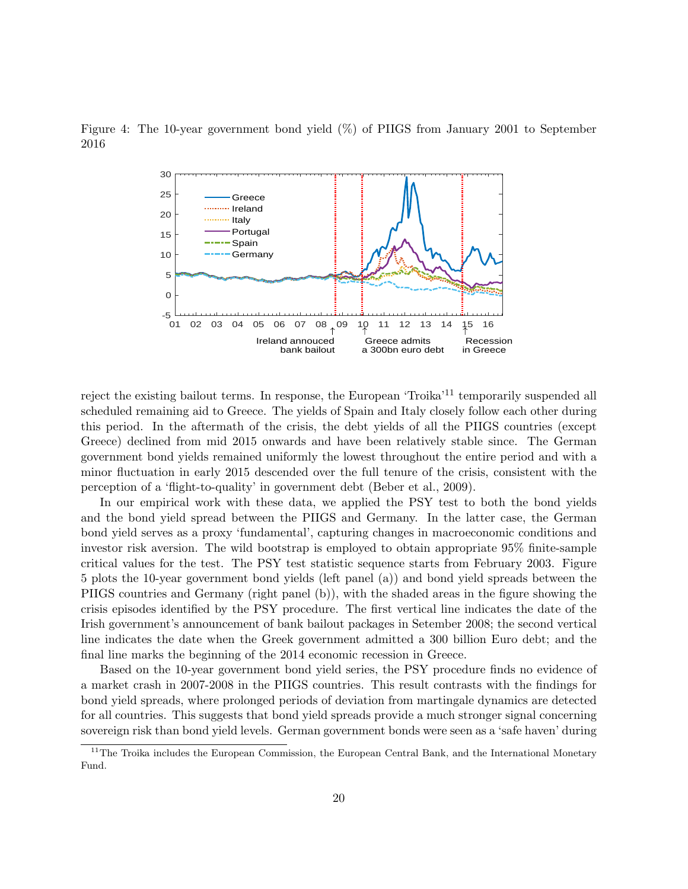<span id="page-19-0"></span>



reject the existing bailout terms. In response, the European 'Troika'[11](#page-19-1) temporarily suspended all scheduled remaining aid to Greece. The yields of Spain and Italy closely follow each other during this period. In the aftermath of the crisis, the debt yields of all the PIIGS countries (except Greece) declined from mid 2015 onwards and have been relatively stable since. The German government bond yields remained uniformly the lowest throughout the entire period and with a minor fluctuation in early 2015 descended over the full tenure of the crisis, consistent with the perception of a 'flight-to-quality' in government debt [\(Beber et al.,](#page-25-13) [2009\)](#page-25-13).

In our empirical work with these data, we applied the PSY test to both the bond yields and the bond yield spread between the PIIGS and Germany. In the latter case, the German bond yield serves as a proxy 'fundamental', capturing changes in macroeconomic conditions and investor risk aversion. The wild bootstrap is employed to obtain appropriate 95% finite-sample critical values for the test. The PSY test statistic sequence starts from February 2003. Figure [5](#page-20-0) plots the 10-year government bond yields (left panel (a)) and bond yield spreads between the PIIGS countries and Germany (right panel (b)), with the shaded areas in the figure showing the crisis episodes identified by the PSY procedure. The first vertical line indicates the date of the Irish government's announcement of bank bailout packages in Setember 2008; the second vertical line indicates the date when the Greek government admitted a 300 billion Euro debt; and the final line marks the beginning of the 2014 economic recession in Greece.

Based on the 10-year government bond yield series, the PSY procedure finds no evidence of a market crash in 2007-2008 in the PIIGS countries. This result contrasts with the findings for bond yield spreads, where prolonged periods of deviation from martingale dynamics are detected for all countries. This suggests that bond yield spreads provide a much stronger signal concerning sovereign risk than bond yield levels. German government bonds were seen as a 'safe haven' during

<span id="page-19-1"></span> $11$ The Troika includes the European Commission, the European Central Bank, and the International Monetary Fund.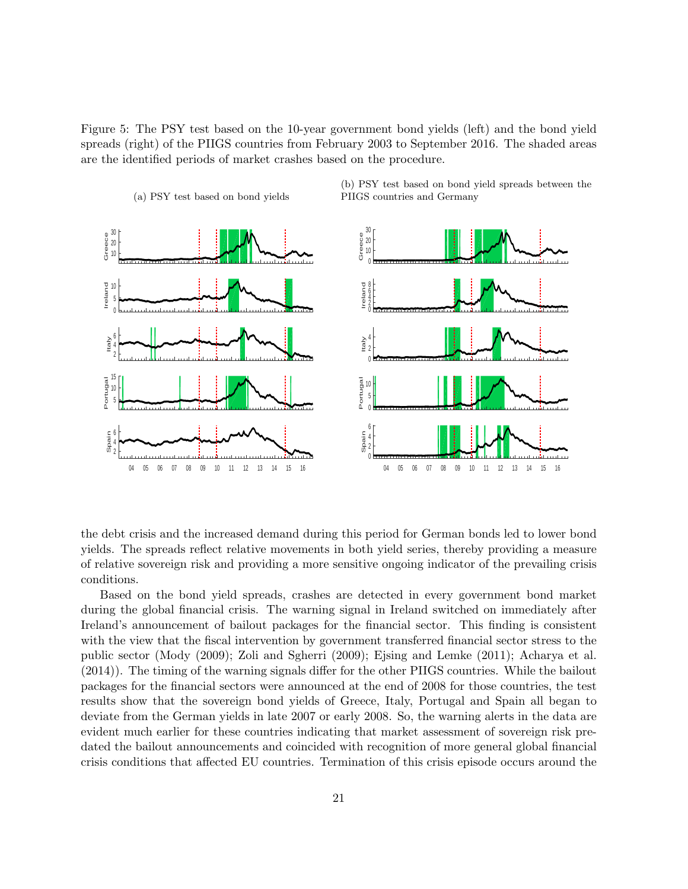<span id="page-20-0"></span>Figure 5: The PSY test based on the 10-year government bond yields (left) and the bond yield spreads (right) of the PIIGS countries from February 2003 to September 2016. The shaded areas are the identified periods of market crashes based on the procedure.

(a) PSY test based on bond yields



(b) PSY test based on bond yield spreads between the PIIGS countries and Germany

the debt crisis and the increased demand during this period for German bonds led to lower bond yields. The spreads reflect relative movements in both yield series, thereby providing a measure of relative sovereign risk and providing a more sensitive ongoing indicator of the prevailing crisis conditions.

Based on the bond yield spreads, crashes are detected in every government bond market during the global financial crisis. The warning signal in Ireland switched on immediately after Ireland's announcement of bailout packages for the financial sector. This finding is consistent with the view that the fiscal intervention by government transferred financial sector stress to the public sector [\(Mody](#page-26-12) [\(2009\)](#page-26-12); [Zoli and Sgherri](#page-27-9) [\(2009\)](#page-27-9); [Ejsing and Lemke](#page-25-14) [\(2011\)](#page-25-14); [Acharya et al.](#page-24-0) [\(2014\)](#page-24-0)). The timing of the warning signals differ for the other PIIGS countries. While the bailout packages for the financial sectors were announced at the end of 2008 for those countries, the test results show that the sovereign bond yields of Greece, Italy, Portugal and Spain all began to deviate from the German yields in late 2007 or early 2008. So, the warning alerts in the data are evident much earlier for these countries indicating that market assessment of sovereign risk predated the bailout announcements and coincided with recognition of more general global financial crisis conditions that affected EU countries. Termination of this crisis episode occurs around the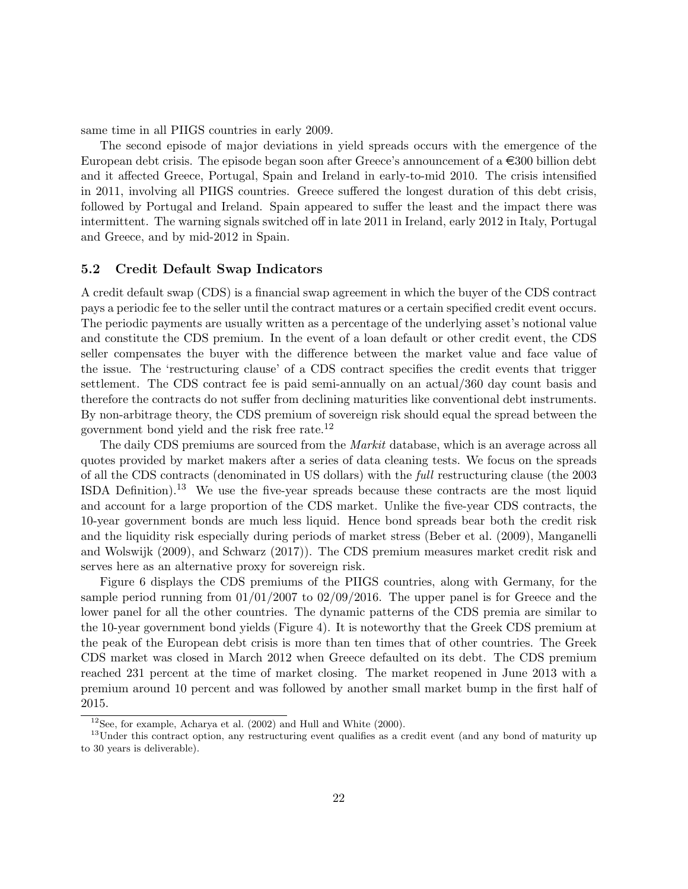same time in all PIIGS countries in early 2009.

The second episode of major deviations in yield spreads occurs with the emergence of the European debt crisis. The episode began soon after Greece's announcement of a  $\epsilon$ 300 billion debt and it affected Greece, Portugal, Spain and Ireland in early-to-mid 2010. The crisis intensified in 2011, involving all PIIGS countries. Greece suffered the longest duration of this debt crisis, followed by Portugal and Ireland. Spain appeared to suffer the least and the impact there was intermittent. The warning signals switched off in late 2011 in Ireland, early 2012 in Italy, Portugal and Greece, and by mid-2012 in Spain.

#### 5.2 Credit Default Swap Indicators

A credit default swap (CDS) is a financial swap agreement in which the buyer of the CDS contract pays a periodic fee to the seller until the contract matures or a certain specified credit event occurs. The periodic payments are usually written as a percentage of the underlying asset's notional value and constitute the CDS premium. In the event of a loan default or other credit event, the CDS seller compensates the buyer with the difference between the market value and face value of the issue. The 'restructuring clause' of a CDS contract specifies the credit events that trigger settlement. The CDS contract fee is paid semi-annually on an actual/360 day count basis and therefore the contracts do not suffer from declining maturities like conventional debt instruments. By non-arbitrage theory, the CDS premium of sovereign risk should equal the spread between the government bond yield and the risk free rate.[12](#page-21-0)

The daily CDS premiums are sourced from the *Markit* database, which is an average across all quotes provided by market makers after a series of data cleaning tests. We focus on the spreads of all the CDS contracts (denominated in US dollars) with the full restructuring clause (the 2003 ISDA Definition).[13](#page-21-1) We use the five-year spreads because these contracts are the most liquid and account for a large proportion of the CDS market. Unlike the five-year CDS contracts, the 10-year government bonds are much less liquid. Hence bond spreads bear both the credit risk and the liquidity risk especially during periods of market stress [\(Beber et al.](#page-25-13) [\(2009\)](#page-25-13), [Manganelli](#page-26-13) [and Wolswijk](#page-26-13) [\(2009\)](#page-26-13), and [Schwarz](#page-27-10) [\(2017\)](#page-27-10)). The CDS premium measures market credit risk and serves here as an alternative proxy for sovereign risk.

Figure [6](#page-22-0) displays the CDS premiums of the PIIGS countries, along with Germany, for the sample period running from  $01/01/2007$  to  $02/09/2016$ . The upper panel is for Greece and the lower panel for all the other countries. The dynamic patterns of the CDS premia are similar to the 10-year government bond yields (Figure [4\)](#page-19-0). It is noteworthy that the Greek CDS premium at the peak of the European debt crisis is more than ten times that of other countries. The Greek CDS market was closed in March 2012 when Greece defaulted on its debt. The CDS premium reached 231 percent at the time of market closing. The market reopened in June 2013 with a premium around 10 percent and was followed by another small market bump in the first half of 2015.

<span id="page-21-1"></span><span id="page-21-0"></span> $12$ See, for example, [Acharya et al.](#page-24-1) [\(2002\)](#page-24-1) and [Hull and White](#page-26-14) [\(2000\)](#page-26-14).

<sup>&</sup>lt;sup>13</sup>Under this contract option, any restructuring event qualifies as a credit event (and any bond of maturity up to 30 years is deliverable).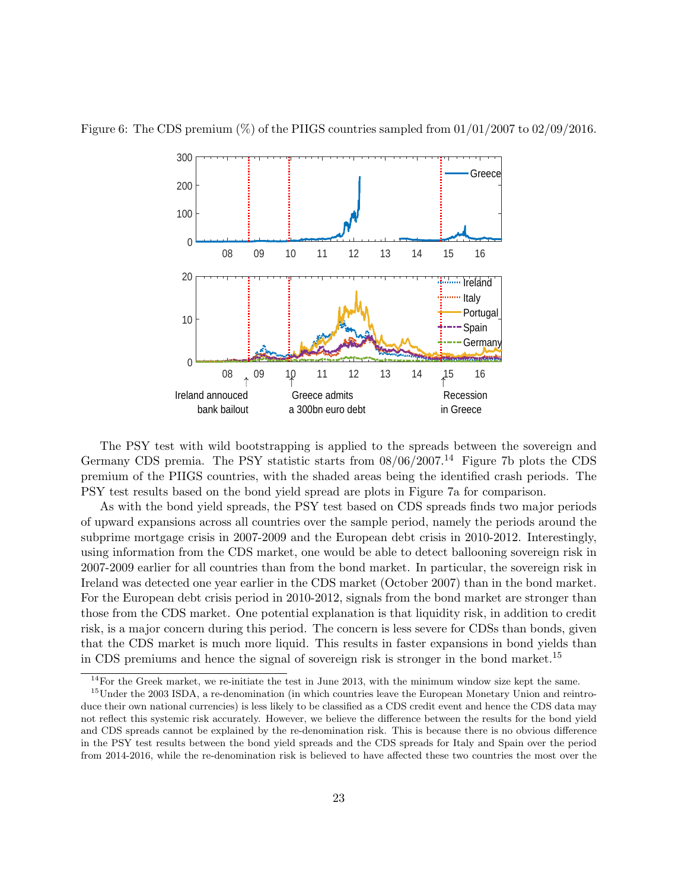

<span id="page-22-0"></span>Figure 6: The CDS premium  $(\%)$  of the PIIGS countries sampled from 01/01/2007 to 02/09/2016.

The PSY test with wild bootstrapping is applied to the spreads between the sovereign and Germany CDS premia. The PSY statistic starts from  $08/06/2007$ .<sup>[14](#page-22-1)</sup> Figure [7b](#page-23-0) plots the CDS premium of the PIIGS countries, with the shaded areas being the identified crash periods. The PSY test results based on the bond yield spread are plots in Figure [7a](#page-23-1) for comparison.

As with the bond yield spreads, the PSY test based on CDS spreads finds two major periods of upward expansions across all countries over the sample period, namely the periods around the subprime mortgage crisis in 2007-2009 and the European debt crisis in 2010-2012. Interestingly, using information from the CDS market, one would be able to detect ballooning sovereign risk in 2007-2009 earlier for all countries than from the bond market. In particular, the sovereign risk in Ireland was detected one year earlier in the CDS market (October 2007) than in the bond market. For the European debt crisis period in 2010-2012, signals from the bond market are stronger than those from the CDS market. One potential explanation is that liquidity risk, in addition to credit risk, is a major concern during this period. The concern is less severe for CDSs than bonds, given that the CDS market is much more liquid. This results in faster expansions in bond yields than in CDS premiums and hence the signal of sovereign risk is stronger in the bond market.[15](#page-22-2)

<span id="page-22-2"></span><span id="page-22-1"></span> $14$ For the Greek market, we re-initiate the test in June 2013, with the minimum window size kept the same.

<sup>&</sup>lt;sup>15</sup>Under the 2003 ISDA, a re-denomination (in which countries leave the European Monetary Union and reintroduce their own national currencies) is less likely to be classified as a CDS credit event and hence the CDS data may not reflect this systemic risk accurately. However, we believe the difference between the results for the bond yield and CDS spreads cannot be explained by the re-denomination risk. This is because there is no obvious difference in the PSY test results between the bond yield spreads and the CDS spreads for Italy and Spain over the period from 2014-2016, while the re-denomination risk is believed to have affected these two countries the most over the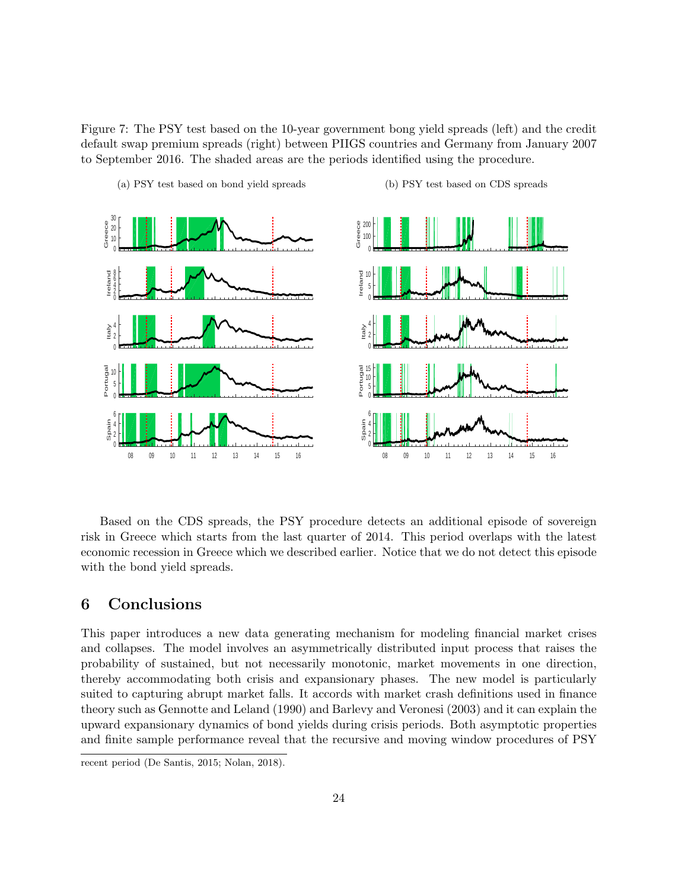Figure 7: The PSY test based on the 10-year government bong yield spreads (left) and the credit default swap premium spreads (right) between PIIGS countries and Germany from January 2007 to September 2016. The shaded areas are the periods identified using the procedure.

<span id="page-23-1"></span>

(a) PSY test based on bond yield spreads

<span id="page-23-0"></span>(b) PSY test based on CDS spreads

Based on the CDS spreads, the PSY procedure detects an additional episode of sovereign risk in Greece which starts from the last quarter of 2014. This period overlaps with the latest economic recession in Greece which we described earlier. Notice that we do not detect this episode with the bond yield spreads.

### 6 Conclusions

This paper introduces a new data generating mechanism for modeling financial market crises and collapses. The model involves an asymmetrically distributed input process that raises the probability of sustained, but not necessarily monotonic, market movements in one direction, thereby accommodating both crisis and expansionary phases. The new model is particularly suited to capturing abrupt market falls. It accords with market crash definitions used in finance theory such as [Gennotte and Leland](#page-25-0) [\(1990\)](#page-25-0) and [Barlevy and Veronesi](#page-25-1) [\(2003\)](#page-25-1) and it can explain the upward expansionary dynamics of bond yields during crisis periods. Both asymptotic properties and finite sample performance reveal that the recursive and moving window procedures of PSY

recent period [\(De Santis,](#page-25-15) [2015;](#page-25-15) [Nolan,](#page-26-15) [2018\)](#page-26-15).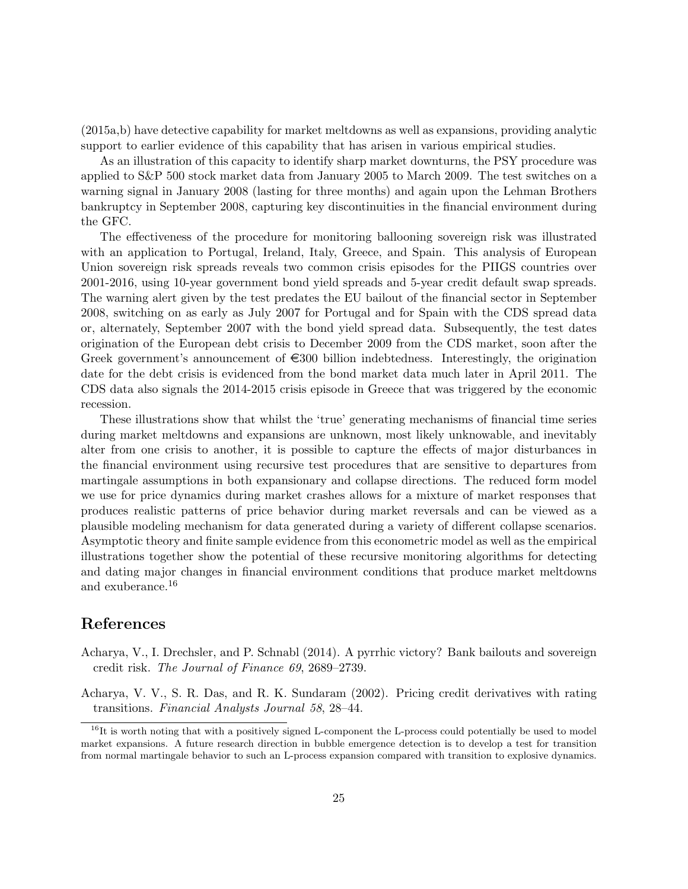(2015a,b) have detective capability for market meltdowns as well as expansions, providing analytic support to earlier evidence of this capability that has arisen in various empirical studies.

As an illustration of this capacity to identify sharp market downturns, the PSY procedure was applied to S&P 500 stock market data from January 2005 to March 2009. The test switches on a warning signal in January 2008 (lasting for three months) and again upon the Lehman Brothers bankruptcy in September 2008, capturing key discontinuities in the financial environment during the GFC.

The effectiveness of the procedure for monitoring ballooning sovereign risk was illustrated with an application to Portugal, Ireland, Italy, Greece, and Spain. This analysis of European Union sovereign risk spreads reveals two common crisis episodes for the PIIGS countries over 2001-2016, using 10-year government bond yield spreads and 5-year credit default swap spreads. The warning alert given by the test predates the EU bailout of the financial sector in September 2008, switching on as early as July 2007 for Portugal and for Spain with the CDS spread data or, alternately, September 2007 with the bond yield spread data. Subsequently, the test dates origination of the European debt crisis to December 2009 from the CDS market, soon after the Greek government's announcement of  $\in 300$  billion indebtedness. Interestingly, the origination date for the debt crisis is evidenced from the bond market data much later in April 2011. The CDS data also signals the 2014-2015 crisis episode in Greece that was triggered by the economic recession.

These illustrations show that whilst the 'true' generating mechanisms of financial time series during market meltdowns and expansions are unknown, most likely unknowable, and inevitably alter from one crisis to another, it is possible to capture the effects of major disturbances in the financial environment using recursive test procedures that are sensitive to departures from martingale assumptions in both expansionary and collapse directions. The reduced form model we use for price dynamics during market crashes allows for a mixture of market responses that produces realistic patterns of price behavior during market reversals and can be viewed as a plausible modeling mechanism for data generated during a variety of different collapse scenarios. Asymptotic theory and finite sample evidence from this econometric model as well as the empirical illustrations together show the potential of these recursive monitoring algorithms for detecting and dating major changes in financial environment conditions that produce market meltdowns and exuberance.[16](#page-24-2)

## References

- <span id="page-24-0"></span>Acharya, V., I. Drechsler, and P. Schnabl (2014). A pyrrhic victory? Bank bailouts and sovereign credit risk. The Journal of Finance 69, 2689–2739.
- <span id="page-24-1"></span>Acharya, V. V., S. R. Das, and R. K. Sundaram (2002). Pricing credit derivatives with rating transitions. Financial Analysts Journal 58, 28–44.

<span id="page-24-2"></span><sup>&</sup>lt;sup>16</sup>It is worth noting that with a positively signed L-component the L-process could potentially be used to model market expansions. A future research direction in bubble emergence detection is to develop a test for transition from normal martingale behavior to such an L-process expansion compared with transition to explosive dynamics.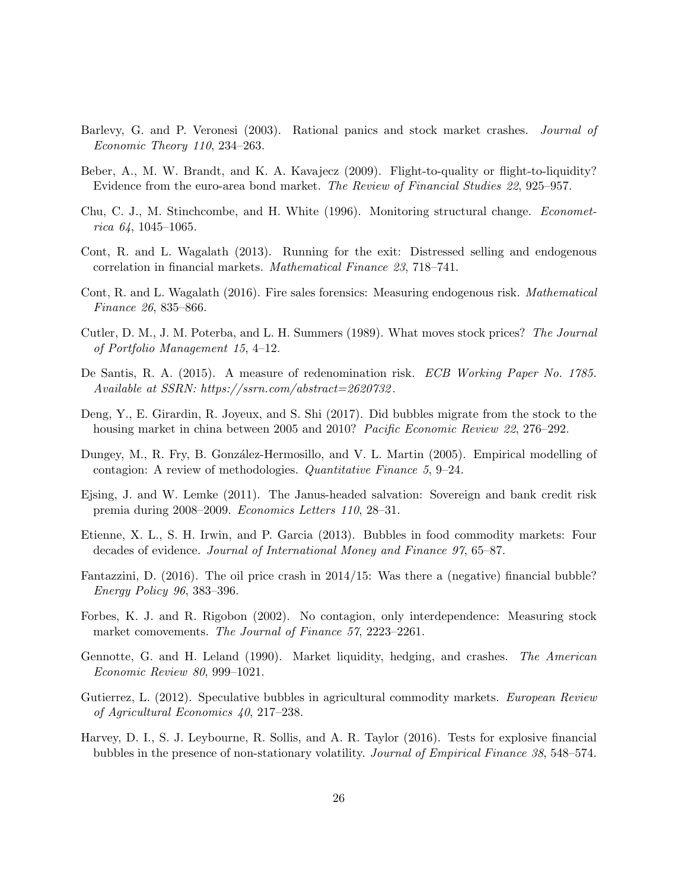- <span id="page-25-1"></span>Barlevy, G. and P. Veronesi (2003). Rational panics and stock market crashes. *Journal of* Economic Theory 110, 234–263.
- <span id="page-25-13"></span>Beber, A., M. W. Brandt, and K. A. Kavajecz (2009). Flight-to-quality or flight-to-liquidity? Evidence from the euro-area bond market. The Review of Financial Studies 22, 925–957.
- <span id="page-25-12"></span>Chu, C. J., M. Stinchcombe, and H. White (1996). Monitoring structural change. Econometrica  $64, 1045 - 1065$ .
- <span id="page-25-3"></span>Cont, R. and L. Wagalath (2013). Running for the exit: Distressed selling and endogenous correlation in financial markets. Mathematical Finance 23, 718–741.
- <span id="page-25-4"></span>Cont, R. and L. Wagalath (2016). Fire sales forensics: Measuring endogenous risk. Mathematical Finance 26, 835–866.
- <span id="page-25-2"></span>Cutler, D. M., J. M. Poterba, and L. H. Summers (1989). What moves stock prices? The Journal of Portfolio Management 15, 4–12.
- <span id="page-25-15"></span>De Santis, R. A. (2015). A measure of redenomination risk. ECB Working Paper No. 1785. Available at SSRN: https://ssrn.com/abstract=2620732 .
- <span id="page-25-6"></span>Deng, Y., E. Girardin, R. Joyeux, and S. Shi (2017). Did bubbles migrate from the stock to the housing market in china between 2005 and 2010? Pacific Economic Review 22, 276–292.
- <span id="page-25-9"></span>Dungey, M., R. Fry, B. González-Hermosillo, and V. L. Martin (2005). Empirical modelling of contagion: A review of methodologies. Quantitative Finance 5, 9–24.
- <span id="page-25-14"></span>Ejsing, J. and W. Lemke (2011). The Janus-headed salvation: Sovereign and bank credit risk premia during 2008–2009. Economics Letters 110, 28–31.
- <span id="page-25-11"></span>Etienne, X. L., S. H. Irwin, and P. Garcia (2013). Bubbles in food commodity markets: Four decades of evidence. Journal of International Money and Finance 97, 65–87.
- <span id="page-25-7"></span>Fantazzini, D. (2016). The oil price crash in 2014/15: Was there a (negative) financial bubble? Energy Policy 96, 383–396.
- <span id="page-25-8"></span>Forbes, K. J. and R. Rigobon (2002). No contagion, only interdependence: Measuring stock market comovements. The Journal of Finance 57, 2223–2261.
- <span id="page-25-0"></span>Gennotte, G. and H. Leland (1990). Market liquidity, hedging, and crashes. The American Economic Review 80, 999–1021.
- <span id="page-25-10"></span>Gutierrez, L. (2012). Speculative bubbles in agricultural commodity markets. European Review of Agricultural Economics 40, 217–238.
- <span id="page-25-5"></span>Harvey, D. I., S. J. Leybourne, R. Sollis, and A. R. Taylor (2016). Tests for explosive financial bubbles in the presence of non-stationary volatility. Journal of Empirical Finance 38, 548–574.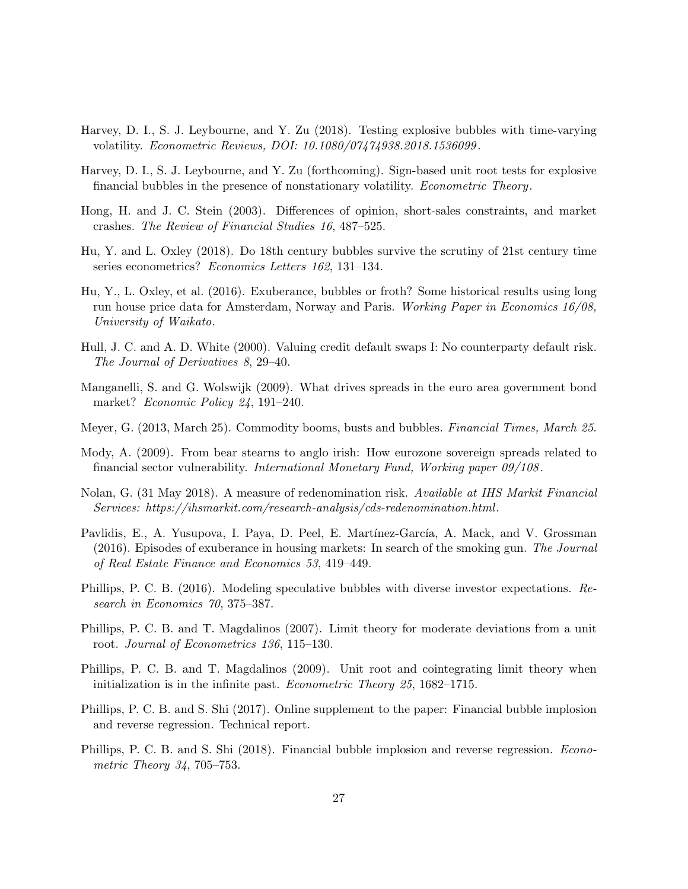- <span id="page-26-7"></span>Harvey, D. I., S. J. Leybourne, and Y. Zu (2018). Testing explosive bubbles with time-varying volatility. Econometric Reviews, DOI: 10.1080/07474938.2018.1536099 .
- <span id="page-26-6"></span>Harvey, D. I., S. J. Leybourne, and Y. Zu (forthcoming). Sign-based unit root tests for explosive financial bubbles in the presence of nonstationary volatility. Econometric Theory.
- <span id="page-26-0"></span>Hong, H. and J. C. Stein (2003). Differences of opinion, short-sales constraints, and market crashes. The Review of Financial Studies 16, 487–525.
- <span id="page-26-5"></span>Hu, Y. and L. Oxley (2018). Do 18th century bubbles survive the scrutiny of 21st century time series econometrics? Economics Letters 162, 131–134.
- <span id="page-26-4"></span>Hu, Y., L. Oxley, et al. (2016). Exuberance, bubbles or froth? Some historical results using long run house price data for Amsterdam, Norway and Paris. Working Paper in Economics 16/08, University of Waikato.
- <span id="page-26-14"></span>Hull, J. C. and A. D. White (2000). Valuing credit default swaps I: No counterparty default risk. The Journal of Derivatives 8, 29–40.
- <span id="page-26-13"></span>Manganelli, S. and G. Wolswijk (2009). What drives spreads in the euro area government bond market? Economic Policy 24, 191–240.
- <span id="page-26-11"></span>Meyer, G. (2013, March 25). Commodity booms, busts and bubbles. Financial Times, March 25.
- <span id="page-26-12"></span>Mody, A. (2009). From bear stearns to anglo irish: How eurozone sovereign spreads related to financial sector vulnerability. International Monetary Fund, Working paper 09/108 .
- <span id="page-26-15"></span>Nolan, G. (31 May 2018). A measure of redenomination risk. Available at IHS Markit Financial Services: https://ihsmarkit.com/research-analysis/cds-redenomination.html.
- <span id="page-26-10"></span>Pavlidis, E., A. Yusupova, I. Paya, D. Peel, E. Martínez-García, A. Mack, and V. Grossman (2016). Episodes of exuberance in housing markets: In search of the smoking gun. The Journal of Real Estate Finance and Economics 53, 419–449.
- <span id="page-26-1"></span>Phillips, P. C. B. (2016). Modeling speculative bubbles with diverse investor expectations. Research in Economics 70, 375–387.
- <span id="page-26-8"></span>Phillips, P. C. B. and T. Magdalinos (2007). Limit theory for moderate deviations from a unit root. Journal of Econometrics 136, 115–130.
- <span id="page-26-9"></span>Phillips, P. C. B. and T. Magdalinos (2009). Unit root and cointegrating limit theory when initialization is in the infinite past. Econometric Theory 25, 1682–1715.
- <span id="page-26-3"></span>Phillips, P. C. B. and S. Shi (2017). Online supplement to the paper: Financial bubble implosion and reverse regression. Technical report.
- <span id="page-26-2"></span>Phillips, P. C. B. and S. Shi (2018). Financial bubble implosion and reverse regression. Econometric Theory 34, 705–753.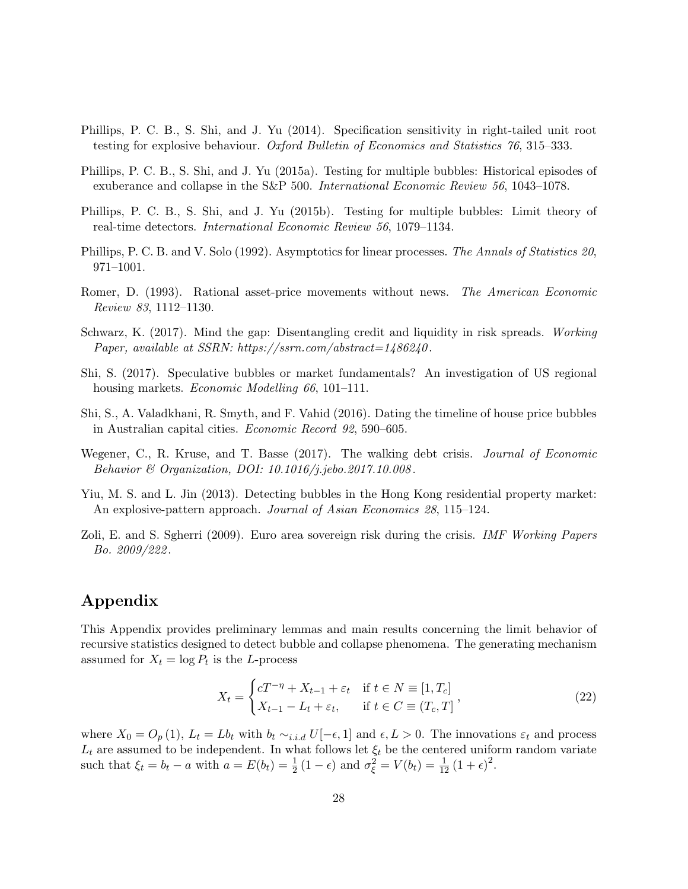- <span id="page-27-8"></span>Phillips, P. C. B., S. Shi, and J. Yu (2014). Specification sensitivity in right-tailed unit root testing for explosive behaviour. Oxford Bulletin of Economics and Statistics 76, 315–333.
- <span id="page-27-1"></span>Phillips, P. C. B., S. Shi, and J. Yu (2015a). Testing for multiple bubbles: Historical episodes of exuberance and collapse in the S&P 500. International Economic Review 56, 1043–1078.
- <span id="page-27-2"></span>Phillips, P. C. B., S. Shi, and J. Yu (2015b). Testing for multiple bubbles: Limit theory of real-time detectors. International Economic Review 56, 1079–1134.
- <span id="page-27-6"></span>Phillips, P. C. B. and V. Solo (1992). Asymptotics for linear processes. The Annals of Statistics 20, 971–1001.
- <span id="page-27-0"></span>Romer, D. (1993). Rational asset-price movements without news. The American Economic Review 83, 1112–1130.
- <span id="page-27-10"></span>Schwarz, K. (2017). Mind the gap: Disentangling credit and liquidity in risk spreads. Working Paper, available at SSRN: https://ssrn.com/abstract=1486240.
- <span id="page-27-3"></span>Shi, S. (2017). Speculative bubbles or market fundamentals? An investigation of US regional housing markets. *Economic Modelling 66*, 101–111.
- <span id="page-27-7"></span>Shi, S., A. Valadkhani, R. Smyth, and F. Vahid (2016). Dating the timeline of house price bubbles in Australian capital cities. Economic Record 92, 590–605.
- <span id="page-27-5"></span>Wegener, C., R. Kruse, and T. Basse (2017). The walking debt crisis. Journal of Economic Behavior & Organization, DOI: 10.1016/j.jebo.2017.10.008 .
- <span id="page-27-4"></span>Yiu, M. S. and L. Jin (2013). Detecting bubbles in the Hong Kong residential property market: An explosive-pattern approach. Journal of Asian Economics 28, 115–124.
- <span id="page-27-9"></span>Zoli, E. and S. Sgherri (2009). Euro area sovereign risk during the crisis. IMF Working Papers Bo. 2009/222 .

## Appendix

This Appendix provides preliminary lemmas and main results concerning the limit behavior of recursive statistics designed to detect bubble and collapse phenomena. The generating mechanism assumed for  $X_t = \log P_t$  is the L-process

$$
X_t = \begin{cases} cT^{-\eta} + X_{t-1} + \varepsilon_t & \text{if } t \in N \equiv [1, T_c] \\ X_{t-1} - L_t + \varepsilon_t, & \text{if } t \in C \equiv (T_c, T] \end{cases},
$$
\n
$$
(22)
$$

where  $X_0 = O_p(1)$ ,  $L_t = Lb_t$  with  $b_t \sim_{i.i.d} U[-\epsilon, 1]$  and  $\epsilon, L > 0$ . The innovations  $\varepsilon_t$  and process  $L_t$  are assumed to be independent. In what follows let  $\xi_t$  be the centered uniform random variate such that  $\xi_t = b_t - a$  with  $a = E(b_t) = \frac{1}{2}(1 - \epsilon)$  and  $\sigma_{\xi}^2 = V(b_t) = \frac{1}{12}(1 + \epsilon)^2$ .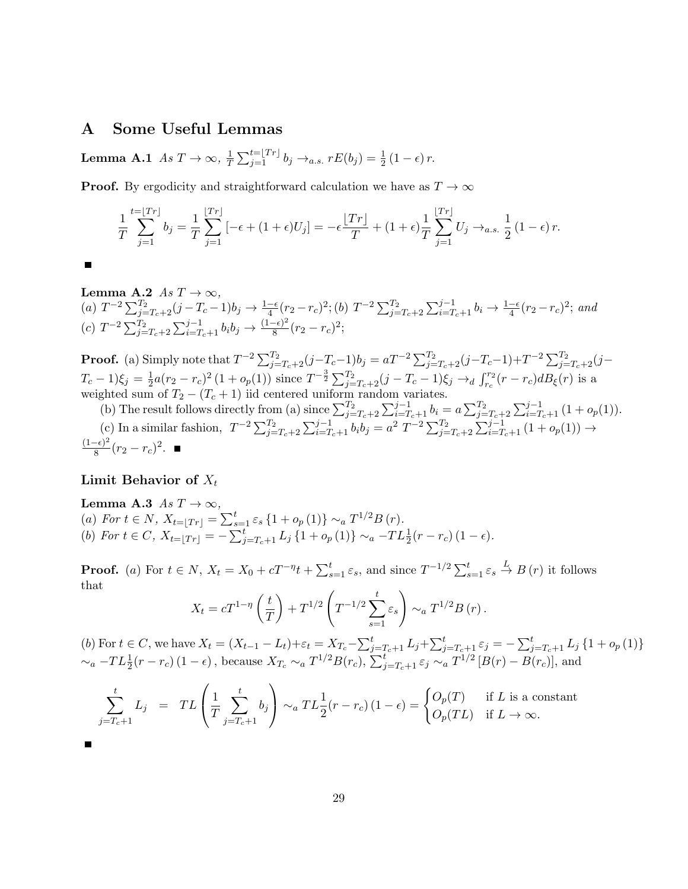### A Some Useful Lemmas

Lemma A.1  $As T \rightarrow \infty$ ,  $\frac{1}{T}$  $\frac{1}{T} \sum_{j=1}^{t=\lfloor Tr \rfloor} b_j \rightarrow_{a.s.} rE(b_j) = \frac{1}{2} (1 - \epsilon) r.$ 

**Proof.** By ergodicity and straightforward calculation we have as  $T \to \infty$ 

$$
\frac{1}{T} \sum_{j=1}^{t=\lfloor Tr \rfloor} b_j = \frac{1}{T} \sum_{j=1}^{\lfloor Tr \rfloor} \left[ -\epsilon + (1+\epsilon)U_j \right] = -\epsilon \frac{\lfloor Tr \rfloor}{T} + (1+\epsilon) \frac{1}{T} \sum_{j=1}^{\lfloor Tr \rfloor} U_j \to_{a.s.} \frac{1}{2} (1-\epsilon) r.
$$

<span id="page-28-1"></span> $\blacksquare$ 

Lemma A.2  $As T \rightarrow \infty$ , (a)  $T^{-2} \sum_{j=T_c+2}^{T_2} (j - T_c - 1)b_j \rightarrow \frac{1-\epsilon}{4} (r_2 - r_c)^2$ ; (b)  $T^{-2} \sum_{j=T_c+2}^{T_2} \sum_{i=T_c+1}^{j-1} b_i \rightarrow \frac{1-\epsilon}{4} (r_2 - r_c)^2$ ; and  $(c) T^{-2} \sum_{j=T_c+2}^{T_2} \sum_{i=T_c+1}^{j-1} b_i b_j \rightarrow \frac{(1-\epsilon)^2}{8}$  $\frac{-e^{-}}{8}(r_2-r_c)^2;$ 

**Proof.** (a) Simply note that  $T^{-2} \sum_{j=T_c+2}^{T_2} (j - T_c - 1)b_j = aT^{-2} \sum_{j=T_c+2}^{T_2} (j - T_c - 1) + T^{-2} \sum_{j=T_c+2}^{T_2} (j - T_c - 1)$  $T_c - 1)\xi_j = \frac{1}{2}$  $\frac{1}{2}a(r_2-r_c)^2(1+o_p(1))$  since  $T^{-\frac{3}{2}}\sum_{j=T_c+2}^{T_2}(j-T_c-1)\xi_j \rightarrow_d \int_{r_c}^{r_2}(r-r_c)dB_{\xi}(r)$  is a weighted sum of  $T_2 - (T_c + 1)$  iid centered uniform random variates.

(b) The result follows directly from (a) since  $\sum_{j=T_c+2}^{T_2}\sum_{i=T_c+1}^{j-1}b_i = a \sum_{j=T_c+2}^{T_2}\sum_{i=T_c+1}^{j-1} (1 + o_p(1)).$ (c) In a similar fashion,  $T^{-2} \sum_{j=T_c+2}^{T_2} \sum_{i=T_c+1}^{j-1} b_i b_j = a^2 T^{-2} \sum_{j=T_c+2}^{T_2} \sum_{i=T_c+1}^{j-1} (1 + o_p(1)) \rightarrow$  $(1-\epsilon)^2$  $\frac{-e^{-\epsilon}}{8}(r_2-r_c)^2$ .

### Limit Behavior of  $X_t$

<span id="page-28-0"></span>**Lemma A.3** As 
$$
T \to \infty
$$
,  
\n(a) For  $t \in N$ ,  $X_{t=\lfloor Tr \rfloor} = \sum_{s=1}^{t} \varepsilon_s \{1 + o_p(1)\} \sim_a T^{1/2} B(r)$ .  
\n(b) For  $t \in C$ ,  $X_{t=\lfloor Tr \rfloor} = -\sum_{j=T_c+1}^{t} L_j \{1 + o_p(1)\} \sim_a -TL^1_{\frac{1}{2}}(r - r_c)(1 - \epsilon)$ .

**Proof.** (a) For  $t \in N$ ,  $X_t = X_0 + cT^{-\eta}t + \sum_{s=1}^t \varepsilon_s$ , and since  $T^{-1/2} \sum_{s=1}^t \varepsilon_s \stackrel{L}{\to} B(r)$  it follows that

$$
X_t = cT^{1-\eta} \left( \frac{t}{T} \right) + T^{1/2} \left( T^{-1/2} \sum_{s=1}^t \varepsilon_s \right) \sim_a T^{1/2} B(r).
$$

(b) For  $t \in C$ , we have  $X_t = (X_{t-1} - L_t) + \varepsilon_t = X_{T_c} - \sum_{j=T_c+1}^t L_j + \sum_{j=T_c+1}^t \varepsilon_j = -\sum_{j=T_c+1}^t L_j \{1 + o_p(1)\}$  $\sim_a -TL^1_2(r - r_c) (1 - \epsilon)$ , because  $X_{T_c} \sim_a T^{1/2} B(r_c)$ ,  $\sum_{j=T_c+1}^{t} \varepsilon_j \sim_a T^{1/2} [B(r) - B(r_c)]$ , and

$$
\sum_{j=T_c+1}^t L_j = TL\left(\frac{1}{T} \sum_{j=T_c+1}^t b_j\right) \sim_a TL\frac{1}{2}(r-r_c) (1-\epsilon) = \begin{cases} O_p(T) & \text{if } L \text{ is a constant} \\ O_p(TL) & \text{if } L \to \infty. \end{cases}
$$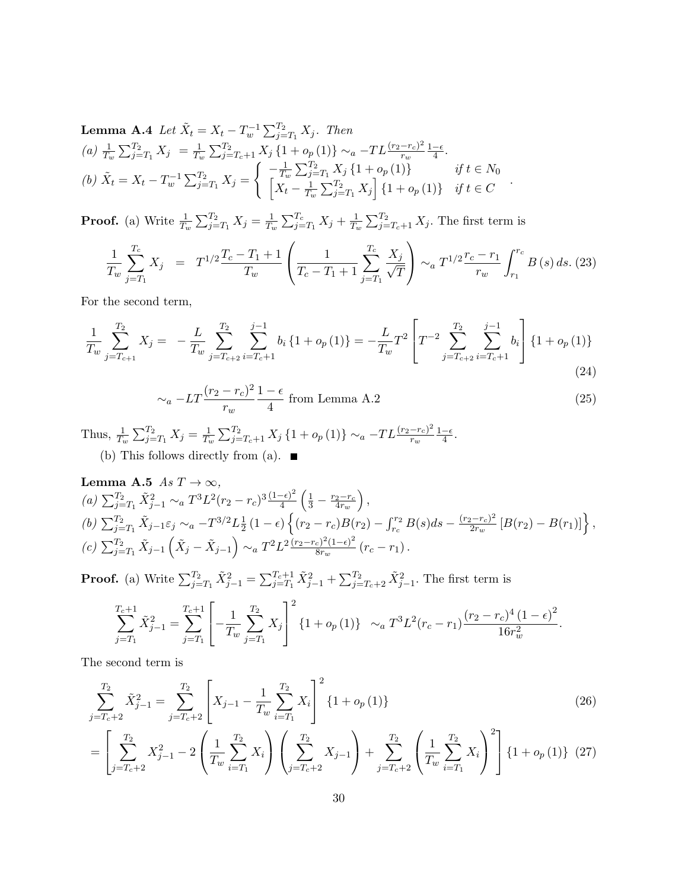**Lemma A.4** Let 
$$
\tilde{X}_t = X_t - T_w^{-1} \sum_{j=T_1}^{T_2} X_j
$$
. Then  
\n(a)  $\frac{1}{T_w} \sum_{j=T_1}^{T_2} X_j = \frac{1}{T_w} \sum_{j=T_c+1}^{T_2} X_j \{1 + o_p(1)\} \sim_a -TL \frac{(r_2 - r_c)^2}{r_w} \frac{1 - \epsilon}{4}$ .  
\n(b)  $\tilde{X}_t = X_t - T_w^{-1} \sum_{j=T_1}^{T_2} X_j = \begin{cases} -\frac{1}{T_w} \sum_{j=T_1}^{T_2} X_j \{1 + o_p(1)\} & \text{if } t \in N_0 \\ \left[X_t - \frac{1}{T_w} \sum_{j=T_1}^{T_2} X_j\right] \{1 + o_p(1)\} & \text{if } t \in C \end{cases}$ 

**Proof.** (a) Write  $\frac{1}{T_w} \sum_{j=T_1}^{T_2} X_j = \frac{1}{T_u}$  $\frac{1}{T_w} \sum_{j=T_1}^{T_c} X_j + \frac{1}{T_u}$  $\frac{1}{T_w} \sum_{j=T_c+1}^{T_2} X_j$ . The first term is

$$
\frac{1}{T_w} \sum_{j=T_1}^{T_c} X_j = T^{1/2} \frac{T_c - T_1 + 1}{T_w} \left( \frac{1}{T_c - T_1 + 1} \sum_{j=T_1}^{T_c} \frac{X_j}{\sqrt{T}} \right) \sim_a T^{1/2} \frac{r_c - r_1}{r_w} \int_{r_1}^{r_c} B(s) \, ds. \tag{23}
$$

.

For the second term,

$$
\frac{1}{T_w} \sum_{j=T_{c+1}}^{T_2} X_j = -\frac{L}{T_w} \sum_{j=T_{c+2}}^{T_2} \sum_{i=T_c+1}^{j-1} b_i \{1 + o_p(1)\} = -\frac{L}{T_w} T^2 \left[ T^{-2} \sum_{j=T_{c+2}}^{T_2} \sum_{i=T_c+1}^{j-1} b_i \right] \{1 + o_p(1)\}
$$
\n(24)

$$
\sim_a -LT \frac{(r_2 - r_c)^2}{r_w} \frac{1 - \epsilon}{4}
$$
 from Lemma A.2 \t(25)

Thus,  $\frac{1}{T_w} \sum_{j=T_1}^{T_2} X_j = \frac{1}{T_u}$  $\frac{1}{T_w} \sum_{j=T_c+1}^{T_2} X_j \left\{1+o_p(1)\right\} \sim_a -TL\frac{(r_2-r_c)^2}{r_w}$  $r_w$  $1-\epsilon$  $\frac{-\epsilon}{4}$ . (b) This follows directly from (a).  $\blacksquare$ 

<span id="page-29-0"></span>**Lemma A.5** 
$$
As T \to \infty
$$
,\n\n(a)  $\sum_{j=T_1}^{T_2} \tilde{X}_{j-1}^2 \sim_a T^3 L^2 (r_2 - r_c)^3 \frac{(1-\epsilon)^2}{4} \left( \frac{1}{3} - \frac{r_2 - r_c}{4r_w} \right)$ ,\n\n(b)  $\sum_{j=T_1}^{T_2} \tilde{X}_{j-1} \varepsilon_j \sim_a -T^{3/2} L^1 \frac{1}{2} (1-\epsilon) \left\{ (r_2 - r_c) B(r_2) - \int_{r_c}^{r_2} B(s) ds - \frac{(r_2 - r_c)^2}{2r_w} \left[ B(r_2) - B(r_1) \right] \right\}$ ,\n\n(c)  $\sum_{j=T_1}^{T_2} \tilde{X}_{j-1} \left( \tilde{X}_j - \tilde{X}_{j-1} \right) \sim_a T^2 L^2 \frac{(r_2 - r_c)^2 (1-\epsilon)^2}{8r_w} (r_c - r_1).$ 

**Proof.** (a) Write  $\sum_{j=T_1}^{T_2} \tilde{X}_{j-1}^2 = \sum_{j=T_1}^{T_c+1} \tilde{X}_{j-1}^2 + \sum_{j=T_c+2}^{T_2} \tilde{X}_{j-1}^2$ . The first term is

$$
\sum_{j=T_1}^{T_c+1} \tilde{X}_{j-1}^2 = \sum_{j=T_1}^{T_c+1} \left[ -\frac{1}{T_w} \sum_{j=T_1}^{T_2} X_j \right]^2 \{1 + o_p(1)\} \sim_a T^3 L^2 (r_c - r_1) \frac{(r_2 - r_c)^4 (1 - \epsilon)^2}{16r_w^2}.
$$

The second term is

$$
\sum_{j=T_c+2}^{T_2} \tilde{X}_{j-1}^2 = \sum_{j=T_c+2}^{T_2} \left[ X_{j-1} - \frac{1}{T_w} \sum_{i=T_1}^{T_2} X_i \right]^2 \{1 + o_p(1)\}
$$
(26)

$$
= \left[\sum_{j=T_c+2}^{T_2} X_{j-1}^2 - 2\left(\frac{1}{T_w} \sum_{i=T_1}^{T_2} X_i\right) \left(\sum_{j=T_c+2}^{T_2} X_{j-1}\right) + \sum_{j=T_c+2}^{T_2} \left(\frac{1}{T_w} \sum_{i=T_1}^{T_2} X_i\right)^2\right] \{1 + o_p(1)\} (27)
$$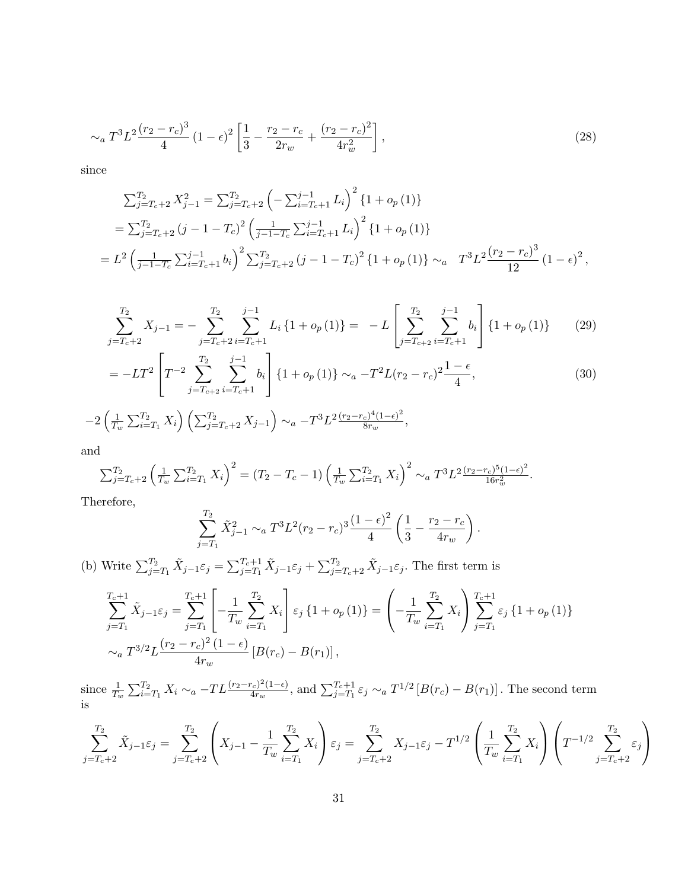$$
\sim_a T^3 L^2 \frac{(r_2 - r_c)^3}{4} \left(1 - \epsilon\right)^2 \left[\frac{1}{3} - \frac{r_2 - r_c}{2r_w} + \frac{(r_2 - r_c)^2}{4r_w^2}\right],\tag{28}
$$

since

$$
\sum_{j=T_c+2}^{T_2} X_{j-1}^2 = \sum_{j=T_c+2}^{T_2} \left( -\sum_{i=T_c+1}^{j-1} L_i \right)^2 \{ 1 + o_p(1) \}
$$
  
=  $\sum_{j=T_c+2}^{T_2} (j - 1 - T_c)^2 \left( \frac{1}{j-1-T_c} \sum_{i=T_c+1}^{j-1} L_i \right)^2 \{ 1 + o_p(1) \}$   
=  $L^2 \left( \frac{1}{j-1-T_c} \sum_{i=T_c+1}^{j-1} b_i \right)^2 \sum_{j=T_c+2}^{T_2} (j - 1 - T_c)^2 \{ 1 + o_p(1) \} \sim_a T^3 L^2 \frac{(r_2 - r_c)^3}{12} (1 - \epsilon)^2,$ 

$$
\sum_{j=T_c+2}^{T_2} X_{j-1} = -\sum_{j=T_c+2}^{T_2} \sum_{i=T_c+1}^{j-1} L_i \{1 + o_p(1)\} = -L \left[ \sum_{j=T_c+2}^{T_2} \sum_{i=T_c+1}^{j-1} b_i \right] \{1 + o_p(1)\} \tag{29}
$$

$$
= -LT^{2} \left[ T^{-2} \sum_{j=T_{c+2}}^{T_{2}} \sum_{i=T_{c}+1}^{j-1} b_{i} \right] \{1 + o_{p}(1)\} \sim_{a} -T^{2} L(r_{2} - r_{c})^{2} \frac{1 - \epsilon}{4},
$$
\n
$$
-2 \left( \frac{1}{T_{w}} \sum_{i=T_{1}}^{T_{2}} X_{i} \right) \left( \sum_{j=T_{c}+2}^{T_{2}} X_{j-1} \right) \sim_{a} -T^{3} L^{2} \frac{(r_{2} - r_{c})^{4} (1 - \epsilon)^{2}}{8r_{w}},
$$
\n(30)

and

$$
\sum_{j=T_c+2}^{T_2} \left(\frac{1}{T_w} \sum_{i=T_1}^{T_2} X_i\right)^2 = (T_2 - T_c - 1) \left(\frac{1}{T_w} \sum_{i=T_1}^{T_2} X_i\right)^2 \sim_a T^3 L^2 \frac{(r_2 - r_c)^5 (1 - \epsilon)^2}{16r_w^2}.
$$

Therefore,

$$
\sum_{j=T_1}^{T_2} \tilde{X}_{j-1}^2 \sim_a T^3 L^2 (r_2 - r_c)^3 \frac{(1-\epsilon)^2}{4} \left( \frac{1}{3} - \frac{r_2 - r_c}{4r_w} \right).
$$

(b) Write  $\sum_{j=T_1}^{T_2} \tilde{X}_{j-1} \varepsilon_j = \sum_{j=T_1}^{T_c+1} \tilde{X}_{j-1} \varepsilon_j + \sum_{j=T_c+2}^{T_2} \tilde{X}_{j-1} \varepsilon_j$ . The first term is

$$
\sum_{j=T_1}^{T_c+1} \tilde{X}_{j-1} \varepsilon_j = \sum_{j=T_1}^{T_c+1} \left[ -\frac{1}{T_w} \sum_{i=T_1}^{T_2} X_i \right] \varepsilon_j \left\{ 1 + o_p(1) \right\} = \left( -\frac{1}{T_w} \sum_{i=T_1}^{T_2} X_i \right) \sum_{j=T_1}^{T_c+1} \varepsilon_j \left\{ 1 + o_p(1) \right\}
$$
  

$$
\sim_a T^{3/2} L \frac{(r_2 - r_c)^2 (1 - \epsilon)}{4r_w} \left[ B(r_c) - B(r_1) \right],
$$

since  $\frac{1}{T_w} \sum_{i=T_1}^{T_2} X_i \sim_a -TL \frac{(r_2-r_c)^2(1-\epsilon)}{4r_w}$  $\frac{T_c)^2(1-\epsilon)}{4r_w}$ , and  $\sum_{j=T_1}^{T_c+1} \varepsilon_j \sim_a T^{1/2} [B(r_c) - B(r_1)]$ . The second term is

$$
\sum_{j=T_c+2}^{T_2} \tilde{X}_{j-1} \varepsilon_j = \sum_{j=T_c+2}^{T_2} \left( X_{j-1} - \frac{1}{T_w} \sum_{i=T_1}^{T_2} X_i \right) \varepsilon_j = \sum_{j=T_c+2}^{T_2} X_{j-1} \varepsilon_j - T^{1/2} \left( \frac{1}{T_w} \sum_{i=T_1}^{T_2} X_i \right) \left( T^{-1/2} \sum_{j=T_c+2}^{T_2} \varepsilon_j \right)
$$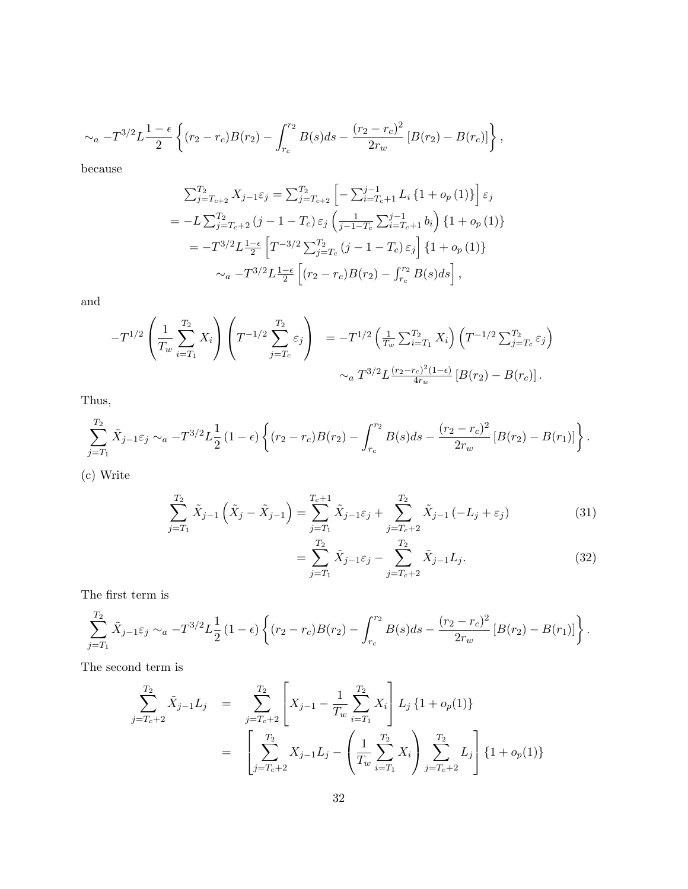$$
\sim_a -T^{3/2}L\frac{1-\epsilon}{2}\left\{(r_2-r_c)B(r_2)-\int_{r_c}^{r_2}B(s)ds-\frac{(r_2-r_c)^2}{2r_w}\left[B(r_2)-B(r_c)\right]\right\},\,
$$

because

$$
\sum_{j=T_{c+2}}^{T_2} X_{j-1} \varepsilon_j = \sum_{j=T_{c+2}}^{T_2} \left[ -\sum_{i=T_c+1}^{j-1} L_i \{1 + o_p(1)\} \right] \varepsilon_j
$$
  
=  $-L \sum_{j=T_c+2}^{T_2} (j-1-T_c) \varepsilon_j \left( \frac{1}{j-1-T_c} \sum_{i=T_c+1}^{j-1} b_i \right) \{1 + o_p(1)\}$   
=  $-T^{3/2} L \frac{1-\epsilon}{2} \left[ T^{-3/2} \sum_{j=T_c}^{T_2} (j-1-T_c) \varepsilon_j \right] \{1 + o_p(1)\}$   
 $\sim_a -T^{3/2} L \frac{1-\epsilon}{2} \left[ (r_2 - r_c) B(r_2) - \int_{r_c}^{r_2} B(s) ds \right],$ 

and

$$
-T^{1/2}\left(\frac{1}{T_w}\sum_{i=T_1}^{T_2}X_i\right)\left(T^{-1/2}\sum_{j=T_c}^{T_2}\varepsilon_j\right) = -T^{1/2}\left(\frac{1}{T_w}\sum_{i=T_1}^{T_2}X_i\right)\left(T^{-1/2}\sum_{j=T_c}^{T_2}\varepsilon_j\right)\\ \sim_a T^{3/2}L^{\frac{(r_2-r_c)^2(1-\epsilon)}{4r_w}}\left[B(r_2)-B(r_c)\right].
$$

Thus,

$$
\sum_{j=T_1}^{T_2} \tilde{X}_{j-1} \varepsilon_j \sim_a -T^{3/2} L^{\frac{1}{2}} \left(1-\epsilon\right) \left\{ (r_2 - r_c)B(r_2) - \int_{r_c}^{r_2} B(s)ds - \frac{(r_2 - r_c)^2}{2r_w} \left[ B(r_2) - B(r_1) \right] \right\}.
$$

(c) Write

$$
\sum_{j=T_1}^{T_2} \tilde{X}_{j-1} \left( \tilde{X}_j - \tilde{X}_{j-1} \right) = \sum_{j=T_1}^{T_c+1} \tilde{X}_{j-1} \varepsilon_j + \sum_{j=T_c+2}^{T_2} \tilde{X}_{j-1} \left( -L_j + \varepsilon_j \right)
$$
(31)

$$
=\sum_{j=T_1}^{T_2} \tilde{X}_{j-1}\varepsilon_j - \sum_{j=T_c+2}^{T_2} \tilde{X}_{j-1}L_j.
$$
 (32)

The first term is

$$
\sum_{j=T_1}^{T_2} \tilde{X}_{j-1} \varepsilon_j \sim_a -T^{3/2} L^{\frac{1}{2}} \left(1-\epsilon\right) \left\{ (r_2 - r_c)B(r_2) - \int_{r_c}^{r_2} B(s)ds - \frac{(r_2 - r_c)^2}{2r_w} \left[ B(r_2) - B(r_1) \right] \right\}.
$$

The second term is

$$
\sum_{j=T_c+2}^{T_2} \tilde{X}_{j-1} L_j = \sum_{j=T_c+2}^{T_2} \left[ X_{j-1} - \frac{1}{T_w} \sum_{i=T_1}^{T_2} X_i \right] L_j \{1 + o_p(1)\}
$$
\n
$$
= \left[ \sum_{j=T_c+2}^{T_2} X_{j-1} L_j - \left( \frac{1}{T_w} \sum_{i=T_1}^{T_2} X_i \right) \sum_{j=T_c+2}^{T_2} L_j \right] \{1 + o_p(1)\}
$$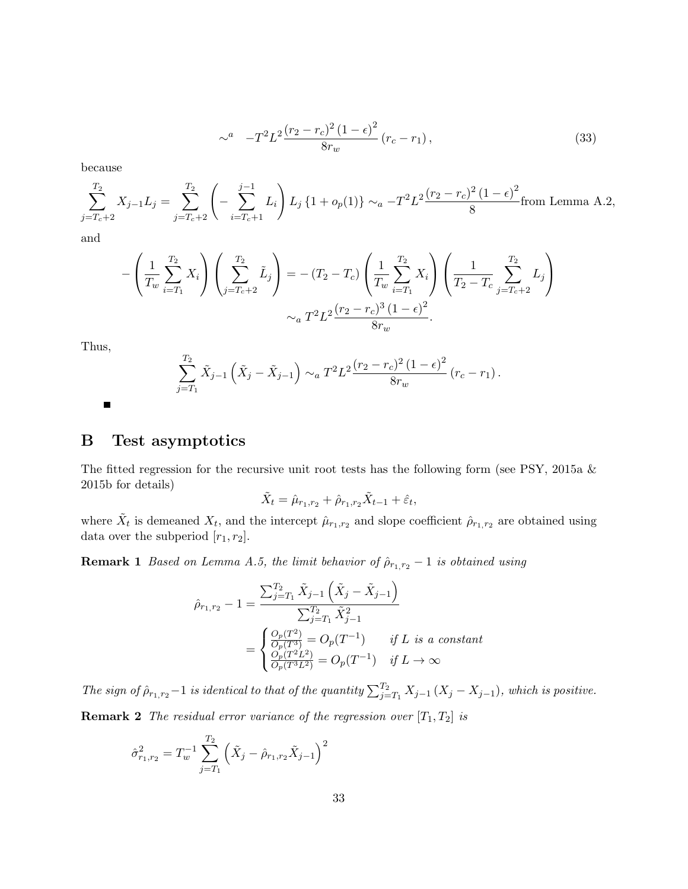$$
\sim^{a} -T^{2}L^{2}\frac{(r_{2}-r_{c})^{2}(1-\epsilon)^{2}}{8r_{w}}(r_{c}-r_{1}), \qquad (33)
$$

because

$$
\sum_{j=T_c+2}^{T_2} X_{j-1} L_j = \sum_{j=T_c+2}^{T_2} \left( -\sum_{i=T_c+1}^{j-1} L_i \right) L_j \left\{ 1 + o_p(1) \right\} \sim_a -T^2 L^2 \frac{(r_2 - r_c)^2 (1 - \epsilon)^2}{8} \text{from Lemma A.2,}
$$

and

$$
-\left(\frac{1}{T_w}\sum_{i=T_1}^{T_2} X_i\right)\left(\sum_{j=T_c+2}^{T_2} \tilde{L}_j\right) = -(T_2 - T_c)\left(\frac{1}{T_w}\sum_{i=T_1}^{T_2} X_i\right)\left(\frac{1}{T_2 - T_c}\sum_{j=T_c+2}^{T_2} L_j\right)
$$

$$
\sim_a T^2 L^2 \frac{(r_2 - r_c)^3 (1 - \epsilon)^2}{8r_w}.
$$

Thus,

 $\blacksquare$ 

$$
\sum_{j=T_1}^{T_2} \tilde{X}_{j-1} \left( \tilde{X}_j - \tilde{X}_{j-1} \right) \sim_a T^2 L^2 \frac{(r_2 - r_c)^2 (1 - \epsilon)^2}{8r_w} (r_c - r_1).
$$

## B Test asymptotics

The fitted regression for the recursive unit root tests has the following form (see PSY, 2015a & 2015b for details)

$$
\tilde{X}_t = \hat{\mu}_{r_1, r_2} + \hat{\rho}_{r_1, r_2} \tilde{X}_{t-1} + \hat{\varepsilon}_t,
$$

where  $\tilde{X}_t$  is demeaned  $X_t$ , and the intercept  $\hat{\mu}_{r_1,r_2}$  and slope coefficient  $\hat{\rho}_{r_1,r_2}$  are obtained using data over the subperiod  $[r_1, r_2]$ .

<span id="page-32-0"></span>**Remark 1** Based on Lemma [A.5,](#page-29-0) the limit behavior of  $\hat{\rho}_{r_1,r_2}$  – 1 is obtained using

$$
\hat{\rho}_{r_1,r_2} - 1 = \frac{\sum_{j=T_1}^{T_2} \tilde{X}_{j-1} \left( \tilde{X}_j - \tilde{X}_{j-1} \right)}{\sum_{j=T_1}^{T_2} \tilde{X}_{j-1}^2}
$$
\n
$$
= \begin{cases}\n\frac{O_p(T^2)}{O_p(T^3)} = O_p(T^{-1}) & \text{if } L \text{ is a constant} \\
\frac{O_p(T^2 L^2)}{O_p(T^3 L^2)} = O_p(T^{-1}) & \text{if } L \to \infty\n\end{cases}
$$

<span id="page-32-1"></span>The sign of  $\hat{\rho}_{r_1,r_2}-1$  is identical to that of the quantity  $\sum_{j=T_1}^{T_2} X_{j-1} (X_j - X_{j-1})$ , which is positive. **Remark 2** The residual error variance of the regression over  $[T_1, T_2]$  is

$$
\hat{\sigma}_{r_1,r_2}^2 = T_w^{-1} \sum_{j=T_1}^{T_2} \left( \tilde{X}_j - \hat{\rho}_{r_1,r_2} \tilde{X}_{j-1} \right)^2
$$